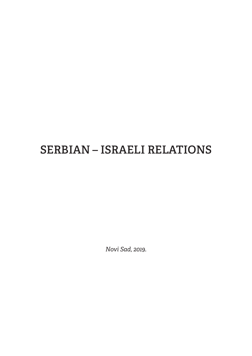### **SERBIAN – ISRAELI RELATIONS**

*Novi Sad, 2019.*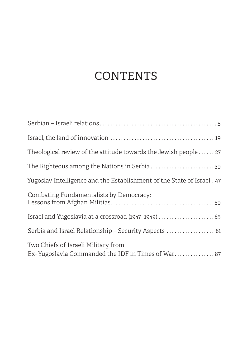## **CONTENTS**

| Theological review of the attitude towards the Jewish people 27                           |
|-------------------------------------------------------------------------------------------|
| The Righteous among the Nations in Serbia39                                               |
| Yugoslav Intelligence and the Establishment of the State of Israel. 47                    |
| Combating Fundamentalists by Democracy:                                                   |
|                                                                                           |
| Serbia and Israel Relationship - Security Aspects  81                                     |
| Two Chiefs of Israeli Military from<br>Ex-Yugoslavia Commanded the IDF in Times of War 87 |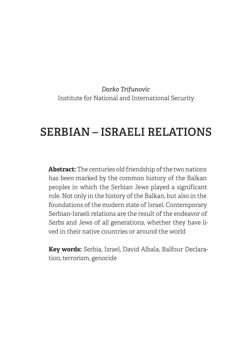*Darko Trifunovic* Institute for National and International Security

### **SERBIAN – ISRAELI RELATIONS**

**Abstract:** The centuries old friendship of the two nations has been marked by the common history of the Balkan peoples in which the Serbian Jews played a significant role. Not only in the history of the Balkan, but also in the foundations of the modern state of Israel. Contemporary Serbian-Israeli relations are the result of the endeavor of Serbs and Jews of all generations, whether they have lived in their native countries or around the world

**Key words:** Serbia, Israel, David Albala, Balfour Declaration, terrorism, genocide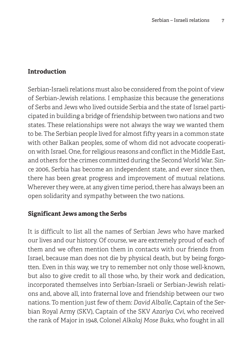### **Introduction**

Serbian-Israeli relations must also be considered from the point of view of Serbian-Jewish relations. I emphasize this because the generations of Serbs and Jews who lived outside Serbia and the state of Israel participated in building a bridge of friendship between two nations and two states. These relationships were not always the way we wanted them to be. The Serbian people lived for almost fifty years in a common state with other Balkan peoples, some of whom did not advocate cooperation with Israel. One, for religious reasons and conflict in the Middle East, and others for the crimes committed during the Second World War. Since 2006, Serbia has become an independent state, and ever since then, there has been great progress and improvement of mutual relations. Wherever they were, at any given time period, there has always been an open solidarity and sympathy between the two nations.

### **Significant Jews among the Serbs**

It is difficult to list all the names of Serbian Jews who have marked our lives and our history. Of course, we are extremely proud of each of them and we often mention them in contacts with our friends from Israel, because man does not die by physical death, but by being forgotten. Even in this way, we try to remember not only those well-known, but also to give credit to all those who, by their work and dedication, incorporated themselves into Serbian-Israeli or Serbian-Jewish relations and, above all, into fraternal love and friendship between our two nations. To mention just few of them: *David Alballe*, Captain of the Serbian Royal Army (SKV), Captain of the SKV *Azariya Cvi*, who received the rank of Major in 1948, Colonel *Alkalaj Mose Buks*, who fought in all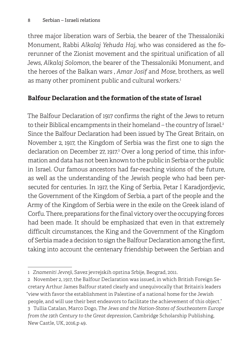three major liberation wars of Serbia, the bearer of the Thessaloniki Monument, Rabbi *Alkalaj Yehuda Haj*, who was considered as the forerunner of the Zionist movement and the spiritual unification of all Jews, *Alkalaj Solomon*, the bearer of the Thessaloniki Monument, and the heroes of the Balkan wars , *Amar Josif* and *Mose*, brothers, as well as many other prominent public and cultural workers. 1

### **Balfour Declaration and the formation of the state of Israel**

The Balfour Declaration of 1917 confirms the right of the Jews to return to their Biblical encampments in their homeland – the country of Israel. 2 Since the Balfour Declaration had been issued by The Great Britain, on November 2, 1917, the Kingdom of Serbia was the first one to sign the declaration on December 27, 1917. 3 Over a long period of time, this information and data has not been known to the public in Serbia or the public in Israel. Our famous ancestors had far-reaching visions of the future, as well as the understanding of the Jewish people who had been persecuted for centuries. In 1917, the King of Serbia, Petar I Karadjordjevic, the Government of the Kingdom of Serbia, a part of the people and the Army of the Kingdom of Serbia were in the exile on the Greek island of Corfu. There, preparations for the final victory over the occupying forces had been made. It should be emphasized that even in that extremely difficult circumstances, the King and the Government of the Kingdom of Serbia made a decision to sign the Balfour Declaration among the first, taking into account the centenary friendship between the Serbian and

<sup>1</sup> *Znameniti Jevreji*, Savez jevrejskih opstina Srbije, Beograd, 2011.

<sup>2</sup> November 2, 1917, the Balfour Declaration was issued, in which British Foreign Secretary Arthur James Balfour stated clearly and unequivocally that Britain's leaders "view with favor the establishment in Palestine of a national home for the Jewish people, and will use their best endeavors to facilitate the achievement of this object." 3 Tullia Catalan, Marco Dogo, *The Jews and the Nation-States of Southeastern Europe from the 19th Century to the Great depression*, Cambridge Scholarship Publishing, New Castle, UK, 2016,p 49.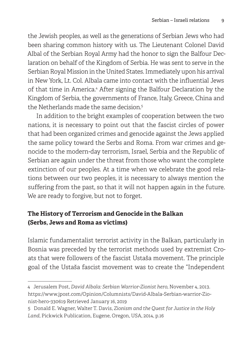the Jewish peoples, as well as the generations of Serbian Jews who had been sharing common history with us. The Lieutenant Colonel David Albal of the Serbian Royal Army had the honor to sign the Balfour Declaration on behalf of the Kingdom of Serbia. He was sent to serve in the Serbian Royal Mission in the United States. Immediately upon his arrival in New York, Lt. Col. Albala came into contact with the influential Jews of that time in America. 4 After signing the Balfour Declaration by the Kingdom of Serbia, the governments of France, Italy, Greece, China and the Netherlands made the same decision. 5

In addition to the bright examples of cooperation between the two nations, it is necessary to point out that the fascist circles of power that had been organized crimes and genocide against the Jews applied the same policy toward the Serbs and Roma. From war crimes and genocide to the modern-day terrorism, Israel, Serbia and the Republic of Serbian are again under the threat from those who want the complete extinction of our peoples. At a time when we celebrate the good relations between our two peoples, it is necessary to always mention the suffering from the past, so that it will not happen again in the future. We are ready to forgive, but not to forget.

### **The History of Terrorism and Genocide in the Balkan (Serbs, Jews and Roma as victims)**

Islamic fundamentalist terrorist activity in the Balkan, particularly in Bosnia was preceded by the terrorist methods used by extremist Croats that were followers of the fascist Ustaša movement. The principle goal of the Ustaša fascist movement was to create the "Independent

<sup>4</sup> Jerusalem Post, *David Albala: Serbian Warrior-Zionist hero*, November 4, 2013. https://www.jpost.com/Opinion/Columnists/David-Albala-Serbian-warrior-Zionist-hero-330619 Retrieved January 16, 2019

<sup>5</sup> Donald E. Wagner, Walter T. Davis, *Zionism and the Quest for Justice in the Holy Land*, Pickwick Publication, Eugene, Oregon, USA, 2014, p.16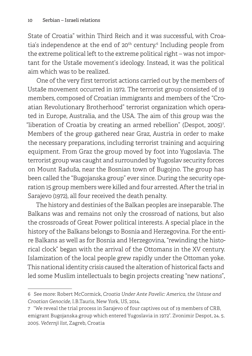State of Croatia" within Third Reich and it was successful, with Croatia's independence at the end of 20 $th$  century. $\epsilon$  Including people from the extreme political left to the extreme political right – was not important for the Ustaše movement's ideology. Instead, it was the political aim which was to be realized.

One of the very first terrorist actions carried out by the members of Ustaše movement occurred in 1972. The terrorist group consisted of 19 members, composed of Croatian immigrants and members of the "Croatian Revolutionary Brotherhood" terrorist organization which operated in Europe, Australia, and the USA. The aim of this group was the "liberation of Croatia by creating an armed rebellion" (Despot, 2005) $^{\rm 7}$ Members of the group gathered near Graz, Austria in order to make the necessary preparations, including terrorist training and acquiring equipment. From Graz the group moved by foot into Yugoslavia. The terrorist group was caught and surrounded by Yugoslav security forces on Mount Raduša, near the Bosnian town of Bugojno. The group has been called the "Bugojanska group" ever since. During the security operation 15 group members were killed and four arrested. After the trial in Sarajevo (1972), all four received the death penalty.

The history and destinies of the Balkan peoples are inseparable. The Balkans was and remains not only the crossroad of nations, but also the crossroads of Great Power political interests. A special place in the history of the Balkans belongs to Bosnia and Herzegovina. For the entire Balkans as well as for Bosnia and Herzegovina, "rewinding the historical clock" began with the arrival of the Ottomans in the XV century. Islamization of the local people grew rapidly under the Ottoman yoke. This national identity crisis caused the alteration of historical facts and led some Muslim intellectuals to begin projects creating "new nations",

<sup>6</sup> See more: Robert McCormick, *Croatia Under Ante Pavelic: America, the Ustase and Croatian Genocide*, I.B.Tauris, New York, US, 2014.

<sup>7 &</sup>quot;We reveal the trial process in Sarajevo of four captives out of 19 members of CRB, emigrant Bugojanska group which entered Yugoslavia in 1972". Zvonimir Despot, 24. 5. 2005. *Večernji list*, Zagreb, Croatia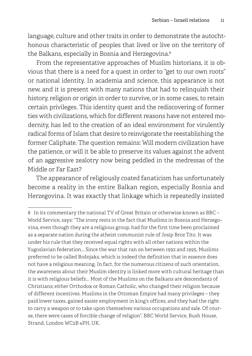language, culture and other traits in order to demonstrate the autochthonous characteristic of peoples that lived or live on the territory of the Balkans, especially in Bosnia and Herzegovina. 8

From the representative approaches of Muslim historians, it is obvious that there is a need for a quest in order to "get to our own roots" or national identity. In academia and science, this appearance is not new, and it is present with many nations that had to relinquish their history, religion or origin in order to survive, or in some cases, to retain certain privileges. This identity quest and the rediscovering of former ties with civilizations, which for different reasons have not entered modernity, has led to the creation of an ideal environment for virulently radical forms of Islam that desire to reinvigorate the reestablishing the former Caliphate. The question remains: Will modern civilization have the patience, or will it be able to preserve its values against the advent of an aggressive zealotry now being peddled in the medressas of the Middle or Far East?

The appearance of religiously coated fanaticism has unfortunately become a reality in the entire Balkan region, especially Bosnia and Herzegovina. It was exactly that linkage which is repeatedly insisted

<sup>8</sup> In its commentary the national TV of Great Britain or otherwise known as BBC – World Service, says: "The irony rests in the fact that Muslims in Bosnia and Herzegovina, even though they are a religious group, had for the first time been proclaimed as a separate nation during the atheist communist rule of Josip Broz Tito. It was under his rule that they received equal rights with all other nations within the Yugoslavian federation... Since the war that ran on between 1992 and 1995, Muslims preferred to be called Bošnjaks, which is indeed the definition that in essence does not have a religious meaning. In fact, for the numerous citizens of such orientation, the awareness about their Muslim identity is linked more with cultural heritage than it is with religious beliefs... Most of the Muslims on the Balkans are descendants of Christians; either Orthodox or Roman Catholic, who changed their religion because of different incentives. Muslims in the Ottoman Empire had many privileges – they paid lower taxes, gained easier employment in king's offices, and they had the right to carry a weapon or to take upon themselves various occupations and sale. Of course, there were cases of forcible change of religion". BBC World Service, Bush House, Strand, London WC2B 4PH, UK.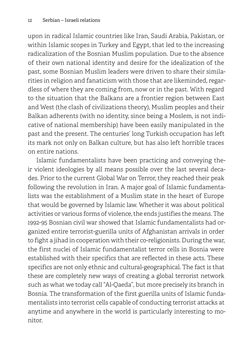upon in radical Islamic countries like Iran, Saudi Arabia, Pakistan, or within Islamic scopes in Turkey and Egypt, that led to the increasing radicalization of the Bosnian Muslim population. Due to the absence of their own national identity and desire for the idealization of the past, some Bosnian Muslim leaders were driven to share their similarities in religion and fanaticism with those that are likeminded, regardless of where they are coming from, now or in the past. With regard to the situation that the Balkans are a frontier region between East and West (the clash of civilizations theory), Muslim peoples and their Balkan adherents (with no identity, since being a Moslem, is not indicative of national membership) have been easily manipulated in the past and the present. The centuries' long Turkish occupation has left its mark not only on Balkan culture, but has also left horrible traces on entire nations.

Islamic fundamentalists have been practicing and conveying their violent ideologies by all means possible over the last several decades. Prior to the current Global War on Terror, they reached their peak following the revolution in Iran. A major goal of Islamic fundamentalists was the establishment of a Muslim state in the heart of Europe that would be governed by Islamic law. Whether it was about political activities or various forms of violence, the ends justifies the means. The 1992-95 Bosnian civil war showed that Islamic fundamentalists had organized entire terrorist-guerilla units of Afghanistan arrivals in order to fight a jihad in cooperation with their co-religionists. During the war, the first nuclei of Islamic fundamentalist terror cells in Bosnia were established with their specifics that are reflected in these acts. These specifics are not only ethnic and cultural-geographical. The fact is that these are completely new ways of creating a global terrorist network such as what we today call "Al-Qaeda", but more precisely its branch in Bosnia. The transformation of the first guerilla units of Islamic fundamentalists into terrorist cells capable of conducting terrorist attacks at anytime and anywhere in the world is particularly interesting to monitor.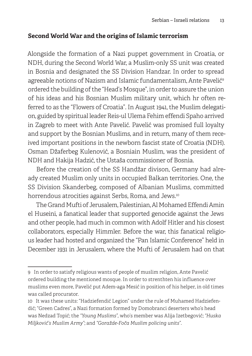### **Second World War and the origins of Islamic terrorism**

Alongside the formation of a Nazi puppet government in Croatia, or NDH, during the Second World War, a Muslim-only SS unit was created in Bosnia and designated the SS Division Handzar. In order to spread agreeable notions of Nazism and Islamic fundamentalism, Ante Pavelić<sup>9</sup> ordered the building of the "Head's Mosque", in order to assure the union of his ideas and his Bosnian Muslim military unit, which hr often referred to as the "Flowers of Croatia". In August 1941, the Muslim delegation, guided by spiritual leader Reis-ul Ulema Fehim effendi Spaho arrived in Zagreb to meet with Ante Pavelić. Pavelić was promised full loyalty and support by the Bosnian Muslims, and in return, many of them received important positions in the newborn fascist state of Croatia (NDH). Osman Džaferbeg Kulenović, a Bosniain Muslim, was the president of NDH and Hakija Hadzić, the Ustaša commissioner of Bosnia.

Before the creation of the SS Handžar divison, Germany had already created Muslim only units in occupied Balkan territories. One, the SS Division Skanderbeg, composed of Albanian Muslims, committed horrendous atrocities against Serbs, Roma, and Jews. 10

The Grand Mufti of Jerusalem, Palestinian, Al Mohamed Effendi Amin el Huseini, a fanatical leader that supported genocide against the Jews and other people, had much in common with Adolf Hitler and his closest collaborators, especially Himmler. Before the war, this fanatical religious leader had hosted and organized the "Pan Islamic Conference" held in December 1931 in Jerusalem, where the Mufti of Jerusalem had on that

<sup>9</sup> In order to satisfy religious wants of people of muslim religion, Ante Pavelić ordered building the mentioned mosque. In order to strenthten his influence over muslims even more, Pavelić put Adem-aga Mesić in position of his helper, in old times was called procurator.

<sup>10</sup> It was these units: "Hadziefendić Legion" under the rule of Muhamed Hadziefendić; "Green Cadres", a Nazi formation formed by Domobranci deserters who's head was Nedzad Topić; the *"Young Muslims",* who's member was Alija Izetbegović; *"Huska Miljković's Muslim Army"*; and *"Goražde-Foča Muslim policing units"*.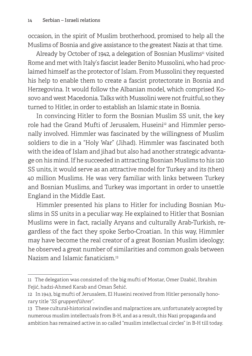occasion, in the spirit of Muslim brotherhood, promised to help all the Muslims of Bosnia and give assistance to the greatest Nazis at that time.

Already by October of 1942, a delegation of Bosnian Muslims<sup>11</sup> visited Rome and met with Italy's fascist leader Benito Mussolini, who had proclaimed himself as the protector of Islam. From Mussolini they requested his help to enable them to create a fascist protectorate in Bosnia and Herzegovina. It would follow the Albanian model, which comprised Kosovo and west Macedonia. Talks with Mussolini were not fruitful, so they turned to Hitler, in order to establish an Islamic state in Bosnia.

In convincing Hitler to form the Bosnian Muslim SS unit, the key role had the Grand Mufti of Jerusalem, Huseini<sup>12</sup> and Himmler personally involved. Himmler was fascinated by the willingness of Muslim soldiers to die in a "Holy War" (Jihad). Himmler was fascinated both with the idea of Islam and jihad but also had another strategic advantage on his mind. If he succeeded in attracting Bosnian Muslims to his 120 SS units, it would serve as an attractive model for Turkey and its (then) 40 million Muslims. He was very familiar with links between Turkey and Bosnian Muslims, and Turkey was important in order to unsettle England in the Middle East.

Himmler presented his plans to Hitler for including Bosnian Muslims in SS units in a peculiar way. He explained to Hitler that Bosnian Muslims were in fact, racially Aryans and culturally Arab-Turkish, regardless of the fact they spoke Serbo-Croatian. In this way, Himmler may have become the real creator of a great Bosnian Muslim ideology; he observed a great number of similarities and common goals between Nazism and Islamic fanaticism. 13

<sup>11</sup> The delegation was consisted of: the big mufti of Mostar, Omer Dzabić, Ibrahim Fejić, hadzi-Ahmed Karab and Oman Šehić.

<sup>12</sup> In 1943, big mufti of Jerusalem, El Huseini received from Hitler personally honorary title *"SS gruppenführer"*.

<sup>13</sup> These cultural-historical swindles and malpractices are, unfortunately accepted by numerous muslim intellectuals from B-H, and as a result, this Nazi propaganda and ambition has remained active in so called "muslim intellectual circles" in B-H till today.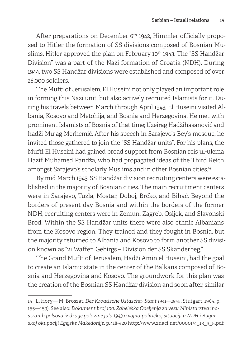After preparations on December 6<sup>th</sup> 1942, Himmler officially proposed to Hitler the formation of SS divisions composed of Bosnian Muslims. Hitler approved the plan on February 10<sup>th</sup> 1943. The "SS Handžar Division" was a part of the Nazi formation of Croatia (NDH). During 1944, two SS Handžar divisions were established and composed of over 26,000 soldiers.

The Mufti of Jerusalem, El Huseini not only played an important role in forming this Nazi unit, but also actively recruited Islamists for it. During his travels between March through April 1943, El Huseini visited Albania, Kosovo and Metohija, and Bosnia and Herzegovina. He met with prominent Islamists of Bosnia of that time; Uzeirag Hadžihasanović and hadži-Mujag Merhemić. After his speech in Sarajevo's Bey's mosque, he invited those gathered to join the "SS Handžar units". For his plans, the Mufti El Huseini had gained broad support from Bosnian reis ul-ulema Hazif Muhamed Pandža, who had propagated ideas of the Third Reich amongst Sarajevo's scholarly Muslims and in other Bosnian cities. 14

By mid March 1943, SS Handžar division recruiting centers were established in the majority of Bosnian cities. The main recruitment centers were in Sarajevo, Tuzla, Mostar, Doboj, Brčko, and Bihać. Beyond the borders of present day Bosnia and within the borders of the former NDH, recruiting centers were in Zemun, Zagreb, Osijek, and Slavonski Brod. Within the SS Handžar units there were also ethnic Albanians from the Kosovo region. They trained and they fought in Bosnia, but the majority returned to Albania and Kosovo to form another SS division known as "21 Waffen Gebirgs – Division der SS Skanderbeg."

The Grand Mufti of Jerusalem, Hadži Amin el Huseini, had the goal to create an Islamic state in the center of the Balkans composed of Bosnia and Herzegovina and Kosovo. The groundwork for this plan was the creation of the Bosnian SS Handžar division and soon after, similar

<sup>14</sup> L. Hory— M. Broszat, *Der Kroatische Ustascha- Staat 1941—1945*, Stutgart, 1964, p. 155—159). See also: *Dokument broj 100. Zabeleška Odeljenja za vezu Ministarstva inostranih polsova iz druge polovine jula 1943.o vojno-političkoj situaciji u NDH i Bugarskoj okupaciji Egejske Makedonije*. p.418-420 http://www.znaci.net/00001/4\_13\_3\_5.pdf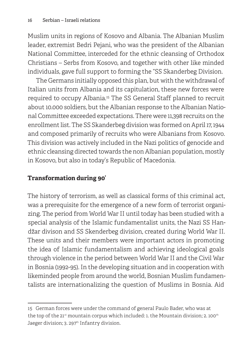Muslim units in regions of Kosovo and Albania. The Albanian Muslim leader, extremist Bedri Pejani, who was the president of the Albanian National Committee, interceded for the ethnic cleansing of Orthodox Christians – Serbs from Kosovo, and together with other like minded individuals, gave full support to forming the "SS Skanderbeg Division.

The Germans initially opposed this plan, but with the withdrawal of Italian units from Albania and its capitulation, these new forces were required to occupy Albania. 15 The SS General Staff planned to recruit about 10.000 soldiers, but the Albanian response to the Albanian National Committee exceeded expectations. There were 11,398 recruits on the enrollment list. The SS Skanderbeg division was formed on April 17, 1944 and composed primarily of recruits who were Albanians from Kosovo. This division was actively included in the Nazi politics of genocide and ethnic cleansing directed towards the non Albanian population, mostly in Kosovo, but also in today's Republic of Macedonia.

### **Transformation during 90'**

The history of terrorism, as well as classical forms of this criminal act, was a prerequisite for the emergence of a new form of terrorist organizing. The period from World War II until today has been studied with a special analysis of the Islamic fundamentalist units, the Nazi SS Handžar divison and SS Skenderbeg division, created during World War II. These units and their members were important actors in promoting the idea of Islamic fundamentalism and achieving ideological goals through violence in the period between World War II and the Civil War in Bosnia (1992-95). In the developing situation and in cooperation with likeminded people from around the world, Bosnian Muslim fundamentalists are internationalizing the question of Muslims in Bosnia. Aid

<sup>15</sup> German forces were under the command of general Paulo Bader, who was at the top of the 21<sup>st</sup> mountain corpus which included: 1. the Mountain division; 2. 100<sup>th</sup> Jaeger division; 3. 297<sup>th</sup> Infantry division.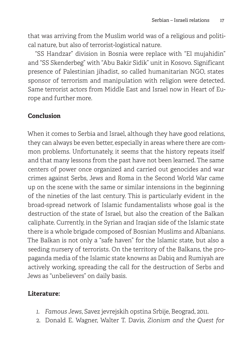that was arriving from the Muslim world was of a religious and political nature, but also of terrorist-logistical nature.

"SS Handzar" division in Bosnia were replace with "El mujahidin" and "SS Skenderbeg" with "Abu Bakir Sidik" unit in Kosovo. Significant presence of Palestinian jihadist, so called humanitarian NGO, states sponsor of terrorism and manipulation with religion were detected. Same terrorist actors from Middle East and Israel now in Heart of Europe and further more.

### **Conclusion**

When it comes to Serbia and Israel, although they have good relations, they can always be even better, especially in areas where there are common problems. Unfortunately, it seems that the history repeats itself and that many lessons from the past have not been learned. The same centers of power once organized and carried out genocides and war crimes against Serbs, Jews and Roma in the Second World War came up on the scene with the same or similar intensions in the beginning of the nineties of the last century. This is particularly evident in the broad-spread network of Islamic fundamentalists whose goal is the destruction of the state of Israel, but also the creation of the Balkan caliphate. Currently, in the Syrian and Iraqian side of the Islamic state there is a whole brigade composed of Bosnian Muslims and Albanians. The Balkan is not only a "safe haven" for the Islamic state, but also a seeding nursery of terrorists. On the territory of the Balkans, the propaganda media of the Islamic state knowns as Dabiq and Rumiyah are actively working, spreading the call for the destruction of Serbs and Jews as "unbelievers" on daily basis.

### **Literature:**

- *1. Famous Jews*, Savez jevrejskih opstina Srbije, Beograd, 2011.
- 2. Donald E. Wagner, Walter T. Davis, *Zionism and the Quest for*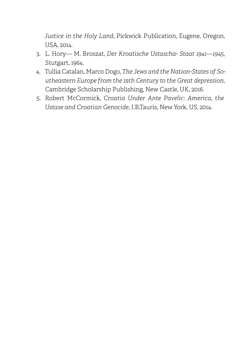*Justice in the Holy Land*, Pickwick Publication, Eugene, Oregon, USA, 2014.

- 3. L. Hory— M. Broszat, *Der Kroatische Ustascha- Staat 1941—1945*, Stutgart, 1964.
- 4. Tullia Catalan, Marco Dogo, *The Jews and the Nation-States of Southeastern Europe from the 19th Century to the Great depression*, Cambridge Scholarship Publishing, New Castle, UK, 2016.
- 5. Robert McCormick, *Croatia Under Ante Pavelic: America, the Ustase and Croatian Genocide*, I.B.Tauris, New York, US, 2014.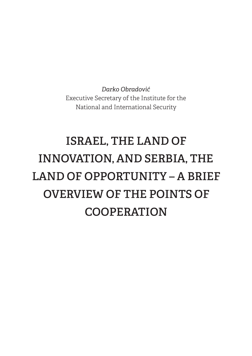*Darko Obradović* Executive Secretary of the Institute for the National and International Security

# **ISRAEL, THE LAND OF INNOVATION, AND SERBIA, THE LAND OF OPPORTUNITY – A BRIEF OVERVIEW OF THE POINTS OF COOPERATION**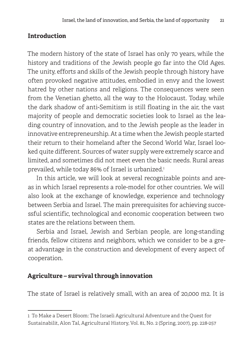### **Introduction**

The modern history of the state of Israel has only 70 years, while the history and traditions of the Jewish people go far into the Old Ages. The unity, efforts and skills of the Jewish people through history have often provoked negative attitudes, embodied in envy and the lowest hatred by other nations and religions. The consequences were seen from the Venetian ghetto, all the way to the Holocaust. Today, while the dark shadow of anti-Semitism is still floating in the air, the vast majority of people and democratic societies look to Israel as the leading country of innovation, and to the Jewish people as the leader in innovative entrepreneurship. At a time when the Jewish people started their return to their homeland after the Second World War, Israel looked quite different. Sources of water supply were extremely scarce and limited, and sometimes did not meet even the basic needs. Rural areas prevailed, while today 86% of Israel is urbanized. 1

In this article, we will look at several recognizable points and areas in which Israel represents a role-model for other countries. We will also look at the exchange of knowledge, experience and technology between Serbia and Israel. The main prerequisites for achieving successful scientific, technological and economic cooperation between two states are the relations between them.

Serbia and Israel, Jewish and Serbian people, are long-standing friends, fellow citizens and neighbors, which we consider to be a great advantage in the construction and development of every aspect of cooperation.

### **Agriculture – survival through innovation**

The state of Israel is relatively small, with an area of 20,000 m2. It is

<sup>1</sup> To Make a Desert Bloom: The Israeli Agricultural Adventure and the Quest for Sustainabilit, Alon Tal, Agricultural History, Vol. 81, No. 2 (Spring, 2007), pp. 228-257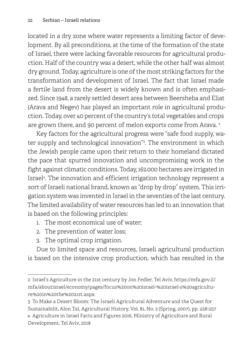located in a dry zone where water represents a limiting factor of development. By all preconditions, at the time of the formation of the state of Israel, there were lacking favorable resources for agricultural production. Half of the country was a desert, while the other half was almost dry ground. Today, agriculture is one of the most striking factors for the transformation and development of Israel. The fact that Israel made a fertile land from the desert is widely known and is often emphasized. Since 1948, a rarely settled desert area between Beersheba and Eliat (Arava and Negev) has played an important role in agricultural production. Today, over 40 percent of the country's total vegetables and crops are grown there, and 90 percent of melon exports come from Arava.<sup>2</sup>

Key factors for the agricultural progress were "safe food supply, water supply and technological innovation"3 . The environment in which the Jewish people came upon their return to their homeland dictated the pace that spurred innovation and uncompromising work in the fight against climatic conditions. Today, 162.000 hectares are irrigated in Israel4 . The innovation and efficient irrigation technology represent a sort of Israeli national brand, known as "drop by drop" system. This irrigation system was invented in Israel in the seventies of the last century. The limited availability of water resources has led to an innovation that is based on the following principles:

- 1. The most economical use of water;
- 2. The prevention of water loss;
- 3. The optimal crop irrigation.

Due to limited space and resources, Israeli agricultural production is based on the intensive crop production, which has resulted in the

<sup>2</sup> Israel's Agriculture in the 21st century by Jon Fedler, Tel Aviv, https://mfa.gov.il/ mfa/aboutisrael/economy/pages/focus%20on%20israel-%20israel-s%20agriculture%20in%20the%2021st.aspx

<sup>3</sup> To Make a Desert Bloom: The Israeli Agricultural Adventure and the Quest for Sustainabilit, Alon Tal, Agricultural History, Vol. 81, No. 2 (Spring, 2007), pp. 228-257 4 Agriculture in Israel Facts and Figures 2016, Ministry of Agriculture and Rural Development, Tel Aviv, 2018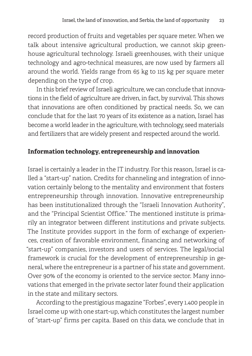record production of fruits and vegetables per square meter. When we talk about intensive agricultural production, we cannot skip greenhouse agricultural technology. Israeli greenhouses, with their unique technology and agro-technical measures, are now used by farmers all around the world. Yields range from 65 kg to 115 kg per square meter depending on the type of crop.

In this brief review of Israeli agriculture, we can conclude that innovations in the field of agriculture are driven, in fact, by survival. This shows that innovations are often conditioned by practical needs. So, we can conclude that for the last 70 years of its existence as a nation, Israel has become a world leader in the agriculture, with technology, seed materials and fertilizers that are widely present and respected around the world.

### **Information technology, entrepreneurship and innovation**

Israel is certainly a leader in the IT industry. For this reason, Israel is called a "start-up" nation. Credits for channeling and integration of innovation certainly belong to the mentality and environment that fosters entrepreneurship through innovation. Innovative entrepreneurship has been institutionalized through the "Israeli Innovation Authority", and the "Principal Scientist Office." The mentioned institute is primarily an integrator between different institutions and private subjects. The Institute provides support in the form of exchange of experiences, creation of favorable environment, financing and networking of "start-up" companies, investors and users of services. The legal/social framework is crucial for the development of entrepreneurship in general, where the entrepreneur is a partner of his state and government. Over 90% of the economy is oriented to the service sector. Many innovations that emerged in the private sector later found their application in the state and military sectors.

According to the prestigious magazine "Forbes", every 1.400 people in Israel come up with one start-up, which constitutes the largest number of "start-up" firms per capita. Based on this data, we conclude that in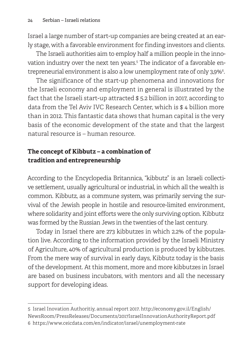Israel a large number of start-up companies are being created at an early stage, with a favorable environment for finding investors and clients.

The Israeli authorities aim to employ half a million people in the innovation industry over the next ten years. 5 The indicator of a favorable entrepreneurial environment is also a low unemployment rate of only 3,9%  $^{\circ}$ 

The significance of the start-up phenomena and innovations for the Israeli economy and employment in general is illustrated by the fact that the Israeli start-up attracted \$ 5.2 billion in 2017, according to data from the Tel Aviv IVC Research Center, which is \$ 4 billion more than in 2012. This fantastic data shows that human capital is the very basis of the economic development of the state and that the largest natural resource is – human resource.

### **The concept of Kibbutz – a combination of tradition and entrepreneurship**

According to the Encyclopedia Britannica, "kibbutz" is an Israeli collective settlement, usually agricultural or industrial, in which all the wealth is common. Kibbutz, as a commune system, was primarily serving the survival of the Jewish people in hostile and resource-limited environment, where solidarity and joint efforts were the only surviving option. Kibbutz was formed by the Russian Jews in the twenties of the last century.

Today in Israel there are 273 kibbutzes in which 2.2% of the population live. According to the information provided by the Israeli Ministry of Agriculture, 40% of agricultural production is produced by kibbutzes. From the mere way of survival in early days, Kibbutz today is the basis of the development. At this moment, more and more kibbutzes in Israel are based on business incubators, with mentors and all the necessary support for developing ideas.

<sup>5</sup> Israel Inovation Authoritiy, annual report 2017. http://economy.gov.il/English/ NewsRoom/PressReleases/Documents/2017IsraelInnovationAuthorityReport.pdf 6 https://www.ceicdata.com/en/indicator/israel/unemployment-rate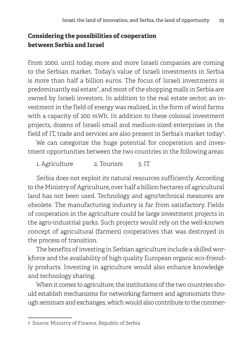### **Considering the possibilities of cooperation between Serbia and Israel**

From 2000. until today, more and more Israeli companies are coming to the Serbian market. Today's value of Israeli investments in Serbia is more than half a billion euros. The focus of Israeli investments is predominantly eal estate", and most of the shopping malls in Serbia are owned by Israeli investors. In addition to the real estate sector, an investment in the field of energy was realized, in the form of wind farms with a capacity of 200 mWh. In addition to these colossal investment projects, dozens of Israeli small and medium-sized enterprises in the field of IT, trade and services are also present in Serbia's market today $^{\tau_\cdot}$ 

We can categorize the huge potential for cooperation and investment opportunities between the two countries in the following areas:

1. Agriculture 2. Tourism 3. IT

Serbia does not exploit its natural resources sufficiently. According to the Ministry of Agriculture, over half a billion hectares of agricultural land has not been used. Technology and agro/technical measures are obsolete. The manufacturing industry is far from satisfactory. Fields of cooperation in the agriculture could be large investment projects in the agro-industrial parks. Such projects would rely on the well-known concept of agricultural (farmers) cooperatives that was destroyed in the process of transition.

The benefits of investing in Serbian agriculture include a skilled workforce and the availability of high quality European organic eco-friendly products. Investing in agriculture would also enhance knowledge and technology sharing.

When it comes to agriculture, the institutions of the two countries should establish mechanisms for networking farmers and agronomists through seminars and exchanges, which would also contribute to the commer-

<sup>7</sup> Source: Ministry of Finance, Republic of Serbia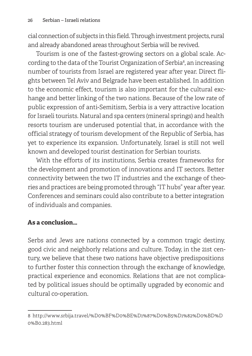cial connection of subjects in this field. Through investment projects, rural and already abandoned areas throughout Serbia will be revived.

Tourism is one of the fastest-growing sectors on a global scale. According to the data of the Tourist Organization of Serbia<sup>8</sup>, an increasing number of tourists from Israel are registered year after year. Direct flights between Tel Aviv and Belgrade have been established. In addition to the economic effect, tourism is also important for the cultural exchange and better linking of the two nations. Because of the low rate of public expression of anti-Semitism, Serbia is a very attractive location for Israeli tourists. Natural and spa centers (mineral springs) and health resorts tourism are underused potential that, in accordance with the official strategy of tourism development of the Republic of Serbia, has yet to experience its expansion. Unfortunately, Israel is still not well known and developed tourist destination for Serbian tourists.

With the efforts of its institutions, Serbia creates frameworks for the development and promotion of innovations and IT sectors. Better connectivity between the two IT industries and the exchange of theories and practices are being promoted through "IT hubs" year after year. Conferences and seminars could also contribute to a better integration of individuals and companies.

### **As a conclusion…**

Serbs and Jews are nations connected by a common tragic destiny, good civic and neighborly relations and culture. Today, in the 21st century, we believe that these two nations have objective predispositions to further foster this connection through the exchange of knowledge, practical experience and economics. Relations that are not complicated by political issues should be optimally upgraded by economic and cultural co-operation.

<sup>8</sup> http://www.srbija.travel/%D0%BF%D0%BE%D1%87%D0%B5%D1%82%D0%BD%D 0%B0.283.html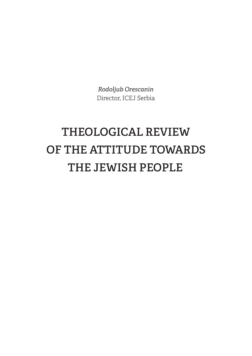*Rodoljub Orescanin* Director, ICEJ Serbia

# **THEOLOGICAL REVIEW OF THE ATTITUDE TOWARDS THE JEWISH PEOPLE**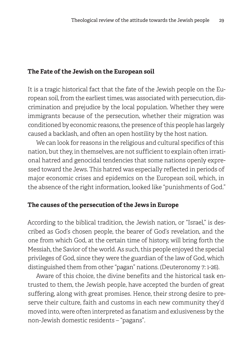#### **The Fate of the Jewish on the European soil**

It is a tragic historical fact that the fate of the Jewish people on the European soil, from the earliest times, was associated with persecution, discrimination and prejudice by the local population. Whether they were immigrants because of the persecution, whether their migration was conditioned by economic reasons, the presence of this people has largely caused a backlash, and often an open hostility by the host nation.

We can look for reasons in the religious and cultural specifics of this nation, but they, in themselves, are not sufficient to explain often irrational hatred and genocidal tendencies that some nations openly expressed toward the Jews. This hatred was especially reflected in periods of major economic crises and epidemics on the European soil, which, in the absence of the right information, looked like "punishments of God."

#### **The causes of the persecution of the Jews in Europe**

According to the biblical tradition, the Jewish nation, or "Israel," is described as God's chosen people, the bearer of God's revelation, and the one from which God, at the certain time of history, will bring forth the Messiah, the Savior of the world. As such, this people enjoyed the special privileges of God, since they were the guardian of the law of God, which distinguished them from other "pagan" nations. (Deuteronomy 7: 1-26).

Aware of this choice, the divine benefits and the historical task entrusted to them, the Jewish people, have accepted the burden of great suffering, along with great promises. Hence, their strong desire to preserve their culture, faith and customs in each new community they'd moved into, were often interpreted as fanatism and exlusiveness by the non-Jewish domestic residents – "pagans".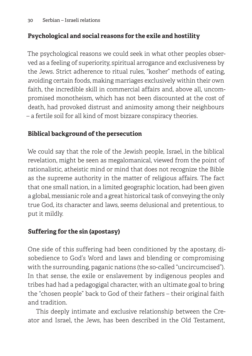### **Psychological and social reasons for the exile and hostility**

The psychological reasons we could seek in what other peoples observed as a feeling of superiority, spiritual arrogance and exclusiveness by the Jews. Strict adherence to ritual rules, "kosher" methods of eating, avoiding certain foods, making marriages exclusively within their own faith, the incredible skill in commercial affairs and, above all, uncompromised monotheism, which has not been discounted at the cost of death, had provoked distrust and animosity among their neighbours – a fertile soil for all kind of most bizzare conspiracy theories.

### **Biblical background of the persecution**

We could say that the role of the Jewish people, Israel, in the biblical revelation, might be seen as megalomanical, viewed from the point of rationalistic, atheistic mind or mind that does not recognize the Bible as the supreme authority in the matter of religious affairs. The fact that one small nation, in a limited geographic location, had been given a global, messianic role and a great historical task of conveying the only true God, its character and laws, seems delusional and pretentious, to put it mildly.

### **Suffering for the sin (apostasy)**

One side of this suffering had been conditioned by the apostasy, disobedience to God's Word and laws and blending or compromising with the surrounding, paganic nations (the so-called "uncircumcised"). In that sense, the exile or enslavement by indigenous peoples and tribes had had a pedagogigal character, with an ultimate goal to bring the "chosen people" back to God of their fathers – their original faith and tradition.

This deeply intimate and exclusive relationship between the Creator and Israel, the Jews, has been described in the Old Testament,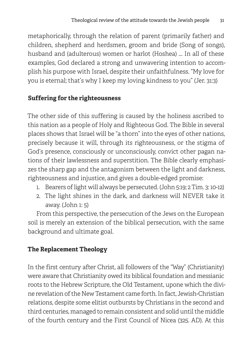metaphorically, through the relation of parent (primarily father) and children, shepherd and herdsmen, groom and bride (Song of songs), husband and (adulterous) women or harlot (Hoshea) ... In all of these examples, God declared a strong and unwavering intention to accomplish his purpose with Israel, despite their unfaithfulness. "My love for you is eternal; that's why I keep my loving kindness to you" (Jer. 31:3)

### **Suffering for the righteousness**

The other side of this suffering is caused by the holiness ascribed to this nation as a people of Holy and Righteous God. The Bible in several places shows that Israel will be "a thorn" into the eyes of other nations, precisely because it will, through its righteousness, or the stigma of God's presence, consciously or unconsciously, convict other pagan nations of their lawlessness and superstition. The Bible clearly emphasizes the sharp gap and the antagonism between the light and darkness, righteousness and injustice, and gives a double-edged promise:

- 1. Bearers of light will always be persecuted. (John 5:19; 2 Tim. 3: 10-12)
- 2. The light shines in the dark, and darkness will NEVER take it away. (John 1: 5)

From this perspective, the persecution of the Jews on the European soil is merely an extension of the biblical persecution, with the same background and ultimate goal.

### **The Replacement Theology**

In the first century after Christ, all followers of the "Way" (Christianity) were aware that Christianity owed its biblical foundation and messianic roots to the Hebrew Scripture, the Old Testament, upone which the divine revelation of the New Testament came forth. In fact, Jewish-Christian relations, despite some elitist outbursts by Christians in the second and third centuries, managed to remain consistent and solid until the middle of the fourth century and the First Council of Nicea (325. AD). At this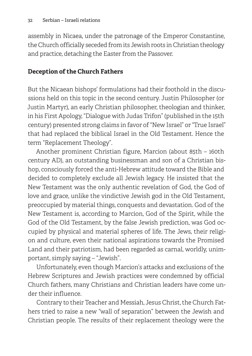assembly in Nicaea, under the patronage of the Emperor Constantine, the Church officially seceded from its Jewish roots in Christian theology and practice, detaching the Easter from the Passover.

### **Deception of the Church Fathers**

But the Nicaean bishops' formulations had their foothold in the discussions held on this topic in the second century. Justin Philosopher (or Justin Martyr), an early Christian philosopher, theologian and thinker, in his First Apology, "Dialogue with Judas Trifon" (published in the 15th century) presented strong claims in favor of "New Israel" or "True Israel" that had replaced the biblical Israel in the Old Testament. Hence the term "Replacement Theology".

Another prominent Christian figure, Marcion (about 85th – 160th century AD), an outstanding businessman and son of a Christian bishop, consciously forced the anti-Hebrew attitude toward the Bible and decided to completely exclude all Jewish legacy. He insisted that the New Testament was the only authentic revelation of God, the God of love and grace, unlike the vindictive Jewish god in the Old Testament, preoccupied by material things, conquests and devastation. God of the New Testament is, according to Marcion, God of the Spirit, while the God of the Old Testament, by the false Jewish prediction, was God occupied by physical and material spheres of life. The Jews, their religion and culture, even their national aspirations towards the Promised Land and their patriotism, had been regarded as carnal, worldly, unimportant, simply saying – "Jewish".

Unfortunately, even though Marcion's attacks and exclusions of the Hebrew Scriptures and Jewish practices were condemned by official Church fathers, many Christians and Christian leaders have come under their influence.

Contrary to their Teacher and Messiah, Jesus Christ, the Church Fathers tried to raise a new "wall of separation" between the Jewish and Christian people. The results of their replacement theology were the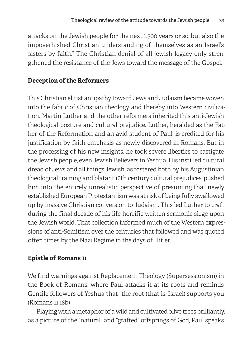attacks on the Jewish people for the next 1.500 years or so, but also the impoverhished Christian understanding of themselves as an Israel's "sisters by faith." The Christian denial of all jewish legacy only strengthened the resistance of the Jews toward the message of the Gospel.

### **Deception of the Reformers**

This Christian elitist antipathy toward Jews and Judaism became woven into the fabric of Christian theology and thereby into Western civilization. Martin Luther and the other reformers inherited this anti-Jewish theological posture and cultural prejudice. Luther, heralded as the Father of the Reformation and an avid student of Paul, is credited for his justification by faith emphasis as newly discovered in Romans. But in the processing of his new insights, he took severe liberties to castigate the Jewish people, even Jewish Believers in Yeshua. His instilled cultural dread of Jews and all things Jewish, as fostered both by his Augustinian theological training and blatant 16th century cultural prejudices, pushed him into the entirely unrealistic perspective of presuming that newly established European Protestantism was at risk of being fully swallowed up by massive Christian conversion to Judaism. This led Luther to craft during the final decade of his life horrific written sermonic siege upon the Jewish world. That collection informed much of the Western expressions of anti-Semitism over the centuries that followed and was quoted often times by the Nazi Regime in the days of Hitler.

### **Epistle of Romans 11**

We find warnings against Replacement Theology (Supersessionism) in the Book of Romans, where Paul attacks it at its roots and reminds Gentile followers of Yeshua that "the root (that is, Israel) supports you (Romans 11:18b)

Playing with a metaphor of a wild and cultivated olive trees brilliantly, as a picture of the "natural" and "grafted" offsprings of God, Paul speaks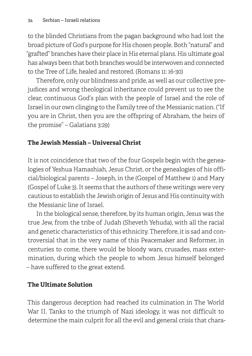to the blinded Christians from the pagan background who had lost the broad picture of God's purpose for His chosen people. Both "natural" and "grafted" branches have their place in His eternal plans. His ultimate goal has always been that both branches would be interwoven and connected to the Tree of Life, healed and restored. (Romans 11: 16-30)

Therefore, only our blindness and pride, as well as our collective prejudices and wrong theological inheritance could prevent us to see the clear, continuous God's plan with the people of Israel and the role of Israel in our own clinging to the Family tree of the Messianic nation. ("If you are in Christ, then you are the offspring of Abraham, the heirs of the promise" – Galatians 3:29)

### **The Jewish Messiah – Universal Christ**

It is not coincidence that two of the four Gospels begin with the genealogies of Yeshua Hamashiah, Jesus Christ, or the genealogies of his official/biological parents – Joseph, in the (Gospel of Matthew 1) and Mary (Gospel of Luke 3). It seems that the authors of these writings were very cautious to establish the Jewish origin of Jesus and His continuity with the Messianic line of Israel.

In the biological sense, therefore, by its human origin, Jesus was the true Jew, from the tribe of Judah (Sheveth Yehuda), with all the racial and genetic characteristics of this ethnicity. Therefore, it is sad and controversial that in the very name of this Peacemaker and Reformer, in centuries to come, there would be bloody wars, crusades, mass extermination, during which the people to whom Jesus himself belonged – have suffered to the great extend.

### **The Ultimate Solution**

This dangerous deception had reached its culmination in The World War II. Tanks to the triumph of Nazi ideology, it was not difficult to determine the main culprit for all the evil and general crisis that chara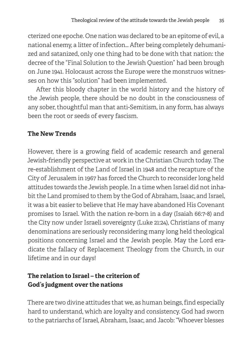cterized one epoche. One nation was declared to be an epitome of evil, a national enemy, a litter of infection… After being completely dehumanized and satanized, only one thing had to be done with that nation: the decree of the "Final Solution to the Jewish Question" had been brough on June 1941. Holocaust across the Europe were the monstruos witnesses on how this "solution" had been implemented.

After this bloody chapter in the world history and the history of the Jewish people, there should be no doubt in the consciousness of any sober, thoughtful man that anti-Semitism, in any form, has always been the root or seeds of every fascism.

### **The New Trends**

However, there is a growing field of academic research and general Jewish-friendly perspective at work in the Christian Church today. The re-establishment of the Land of Israel in 1948 and the recapture of the City of Jerusalem in 1967 has forced the Church to reconsider long held attitudes towards the Jewish people. In a time when Israel did not inhabit the Land promised to them by the God of Abraham, Isaac, and Israel, it was a bit easier to believe that He may have abandoned His Covenant promises to Israel. With the nation re-born in a day (Isaiah 66:7-8) and the City now under Israeli sovereignty (Luke 21:24), Christians of many denominations are seriously reconsidering many long held theological positions concerning Israel and the Jewish people. May the Lord eradicate the fallacy of Replacement Theology from the Church, in our lifetime and in our days!

### **The relation to Israel – the criterion of God's judgment over the nations**

There are two divine attitudes that we, as human beings, find especially hard to understand, which are loyalty and consistency. God had sworn to the patriarchs of Israel, Abraham, Isaac, and Jacob: "Whoever blesses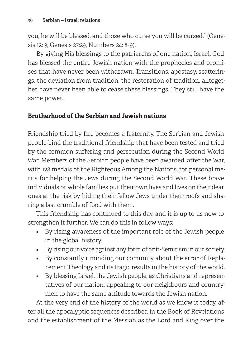you, he will be blessed, and those who curse you will be cursed." (Genesis 12: 3, Genesis 27:29, Numbers 24: 8-9).

By giving His blessings to the patriarchs of one nation, Israel, God has blessed the entire Jewish nation with the prophecies and promises that have never been withdrawn. Transitions, apostasy, scatterings, the deviation from tradition, the restoration of tradition, alltogether have never been able to cease these blessings. They still have the same power.

### **Brotherhood of the Serbian and Jewish nations**

Friendship tried by fire becomes a fraternity. The Serbian and Jewish people bind the traditional friendship that have been tested and tried by the common suffering and persecution during the Second World War. Members of the Serbian people have been awarded, after the War, with 128 medals of the Righteous Among the Nations, for personal merits for helping the Jews during the Second World War. These brave individuals or whole families put their own lives and lives on their dear ones at the risk by hiding their fellow Jews under their roofs and sharing a last crumble of food with them.

This friendship has continued to this day, and it is up to us now to strengthen it further. We can do this in follow ways:

- By rising awareness of the important role of the Jewish people in the global history.
- By rising our voice against any form of anti-Semitism in our society.
- By constantly riminding our comunity about the error of Replacement Theology and its tragic results in the history of the world.
- By blessing Israel, the Jewish people, as Christians and representatives of our nation, appealing to our neighbours and countrymen to have the same attitude towards the Jewish nation.

At the very end of the history of the world as we know it today, after all the apocalyptic sequences described in the Book of Revelations and the establishment of the Messiah as the Lord and King over the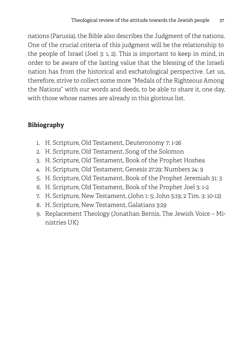nations (Parusia), the Bible also describes the Judgment of the nations. One of the crucial criteria of this judgment will be the relationship to the people of Israel (Joel 3: 1, 2). This is important to keep in mind, in order to be aware of the lasting value that the blessing of the Israeli nation has from the historical and eschatological perspective. Let us, therefore, strive to collect some more "Medals of the Righteous Among the Nations" with our words and deeds, to be able to share it, one day, with those whose names are already in this glorious list.

## **Bibiography**

- 1. H. Scripture, Old Testament, Deuteronomy 7: 1-26
- 2. H. Scripture, Old Testament, Song of the Solomon
- 3. H. Scripture, Old Testament, Book of the Prophet Hoshea
- 4. H. Scripture, Old Testament, Genesis 27:29; Numbers 24: 9
- 5. H. Scripture, Old Testament, Book of the Prophet Jeremiah 31: 3
- 6. H. Scripture, Old Testament, Book of the Prophet Joel 3: 1-2
- 7. H. Scripture, New Testament, (John 1: 5; John 5:19; 2 Tim. 3: 10-12)
- 8. H. Scripture, New Testament, Galatians 3:29
- 9. Replacement Theology (Jonathan Bernis, The Jewish Voice Ministries UK)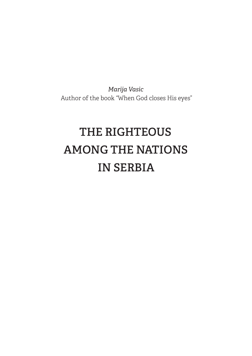*Marija Vasic* Author of the book "When God closes His eyes"

# **THE RIGHTEOUS AMONG THE NATIONS IN SERBIA**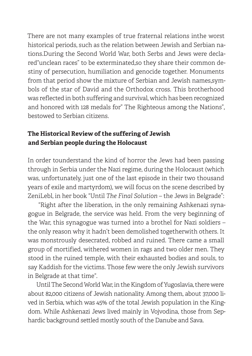There are not many examples of true fraternal relations inthe worst historical periods, such as the relation between Jewish and Serbian nations.During the Second World War, both Serbs and Jews were declared"unclean races" to be exterminated,so they share their common destiny of persecution, humiliation and genocide together. Monuments from that period show the mixture of Serbian and Jewish names,symbols of the star of David and the Orthodox cross. This brotherhood was reflected in both suffering and survival, which has been recognized and honored with 128 medals for" The Righteous among the Nations", bestowed to Serbian citizens.

## **The Historical Review of the suffering of Jewish and Serbian people during the Holocaust**

In order tounderstand the kind of horror the Jews had been passing through in Serbia under the Nazi regime, during the Holocaust (which was, unfortunately, just one of the last episode in their two thousand years of exile and martyrdom), we will focus on the scene described by ZeniLebl, in her book "Until *The Final Solution* – the Jews in Belgrade":

 "Right after the liberation, in the only remaining Ashkenazi synagogue in Belgrade, the service was held. From the very beginning of the War, this synagogue was turned into a brothel for Nazi soldiers – the only reason why it hadn't been demolished togetherwith others. It was monstrously desecrated, robbed and ruined. There came a small group of mortified, withered women in rags and two older men. They stood in the ruined temple, with their exhausted bodies and souls, to say Kaddish for the victims. Those few were the only Jewish survivors in Belgrade at that time".

Until The Second World War, in the Kingdom of Yugoslavia, there were about 82,000 citizens of Jewish nationality. Among them, about 37,000 lived in Serbia, which was 45% of the total Jewish population in the Kingdom. While Ashkenazi Jews lived mainly in Vojvodina, those from Sephardic background settled mostly south of the Danube and Sava.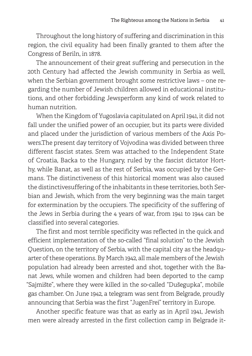Throughout the long history of suffering and discrimination in this region, the civil equality had been finally granted to them after the Congress of Beriln, in 1878.

The announcement of their great suffering and persecution in the 20th Century had affected the Jewish community in Serbia as well, when the Serbian government brought some restrictive laws – one regarding the number of Jewish children allowed in educational institutions, and other forbidding Jewsperform any kind of work related to human nutrition.

When the Kingdom of Yugoslavia capitulated on April 1941, it did not fall under the unified power of an occupier, but its parts were divided and placed under the jurisdiction of various members of the Axis Powers.The present day territory of Vojvodina was divided between three different fascist states. Srem was attached to the Independent State of Croatia, Backa to the Hungary, ruled by the fascist dictator Horthy, while Banat, as well as the rest of Serbia, was occupied by the Germans. The distinctiveness of this historical moment was also caused the distinctivesuffering of the inhabitants in these territories, both Serbian and Jewish, which from the very beginning was the main target for extermination by the occupiers. The specificity of the suffering of the Jews in Serbia during the 4 years of war, from 1941 to 1944 can be classified into several categories.

The first and most terrible specificity was reflected in the quick and efficient implementation of the so-called "final solution" to the Jewish Question, on the territory of Serbia, with the capital city as the headquarter of these operations. By March 1942, all male members of the Jewish population had already been arrested and shot, together with the Banat Jews, while women and children had been deported to the camp "Sajmište", where they were killed in the so-called "Dušegupka", mobile gas chamber. On June 1942, a telegram was sent from Belgrade, proudly announcing that Serbia was the first "JugenFrei" territory in Europe.

Another specific feature was that as early as in April 1941, Jewish men were already arrested in the first collection camp in Belgrade it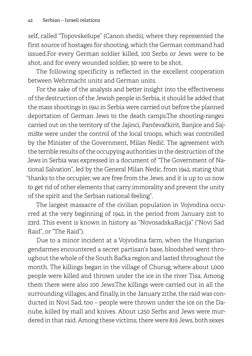self, called "Topovskešupe" (Canon sheds), where they represented the first source of hostages for shooting, which the German command had issued.For every German soldier killed, 100 Serbs or Jews were to be shot, and for every wounded soldier, 50 were to be shot.

The following specificity is reflected in the excellent cooperation between Wehrmacht units and German units.

For the sake of the analysis and better insight into the effectiveness of the destruction of the Jewish people in Serbia, it should be added that the mass shootings in 1941 in Serbia were carried out before the planned deportation of German Jews to the death camps.The shooting-ranges carried out on the territory of the Jajinci, Pančevačkirit, Banjice and Sajmište were under the control of the local troops, which was controlled by the Minister of the Government, Milan Nedić. The agreement with the terrible results of the occupying authorities in the destruction of the Jews in Serbia was expressed in a document of "The Government of National Salvation", led by the General Milan Nedic, from 1942, stating that "thanks to the occupier, we are free from the Jews, and it is up to us now to get rid of other elements that carry immorality and prevent the unity of the spirit and the Serbian national feeling".

The largest massacre of the civilian population in Vojvodina occurred at the very beginning of 1942, in the period from January 21st to 23rd. This event is known in history as "NovosadskaRacija" ("Novi Sad Raid", or "The Raid").

Due to a minor incident at a Vojvodina farm, when the Hungarian gendarmes encountered a secret partisan's base, bloodshed went throughout the whole of the South Bačka region and lasted throughout the month. The killings began in the village of Churug, where about 1,000 people were killed and thrown under the ice in the river Tisa. Among them there were also 100 Jews.The killings were carried out in all the surrounding villages, and finally, in the January 21the, the raid was conducted in Novi Sad, too – people were thrown under the ice on the Danube, killed by mall and knives. About 1,250 Serbs and Jews were murdered in that raid. Among these victims, there were 819 Jews, both sexes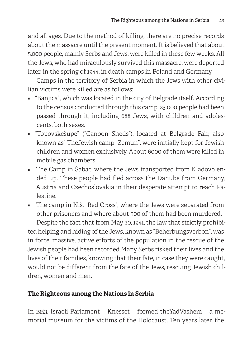and all ages. Due to the method of killing, there are no precise records about the massacre until the present moment. It is believed that about 5,000 people, mainly Serbs and Jews, were killed in these few weeks. All the Jews, who had miraculously survived this massacre, were deported later, in the spring of 1944, in death camps in Poland and Germany.

Camps in the territory of Serbia in which the Jews with other civilian victims were killed are as follows:

- "Banjica", which was located in the city of Belgrade itself. According to the census conducted through this camp, 23 000 people had been passed through it, including 688 Jews, with children and adolescents, both sexes.
- "Topovskešupe" ("Canoon Sheds"), located at Belgrade Fair, also known as" TheJewish camp -Zemun", were initially kept for Jewish children and women exclusively. About 6000 of them were killed in mobile gas chambers.
- The Camp in Šabac, where the Jews transported from Kladovo ended up. These people had fled across the Danube from Germany, Austria and Czechoslovakia in their desperate attempt to reach Palestine.
- The camp in Niš, "Red Cross", where the Jews were separated from other prisoners and where about 500 of them had been murdered.

Despite the fact that from May 30, 1941, the law that strictly prohibited helping and hiding of the Jews, known as "Beherbungsverbon", was in force, massive, active efforts of the population in the rescue of the Jewish people had been recorded.Many Serbs risked their lives and the lives of their families, knowing that their fate, in case they were caught, would not be different from the fate of the Jews, rescuing Jewish children, women and men.

### **The Righteous among the Nations in Serbia**

In 1953, Israeli Parlament – Knesset – formed theYadVashem – a memorial museum for the victims of the Holocaust. Ten years later, the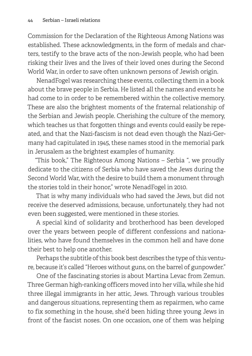Commission for the Declaration of the Righteous Among Nations was established. These acknowledgments, in the form of medals and charters, testify to the brave acts of the non-Jewish people, who had been risking their lives and the lives of their loved ones during the Second World War, in order to save often unknown persons of Jewish origin.

NenadFogel was researching these events, collecting them in a book about the brave people in Serbia. He listed all the names and events he had come to in order to be remembered within the collective memory. These are also the brightest moments of the fraternal relationship of the Serbian and Jewish people. Cherishing the culture of the memory, which teaches us that forgotten things and events could easily be repeated, and that the Nazi-fascism is not dead even though the Nazi-Germany had capitulated in 1945, these names stood in the memorial park in Jerusalem as the brightest examples of humanity.

"This book," The Righteous Among Nations – Serbia ", we proudly dedicate to the citizens of Serbia who have saved the Jews during the Second World War, with the desire to build them a monument through the stories told in their honor," wrote NenadFogel in 2010.

That is why many individuals who had saved the Jews, but did not receive the deserved admissions, because, unfortunately, they had not even been suggested, were mentioned in these stories.

A special kind of solidarity and brotherhood has been developed over the years between people of different confessions and nationalities, who have found themselves in the common hell and have done their best to help one another.

Perhaps the subtitle of this book best describes the type of this venture, because it's called "Heroes without guns, on the barrel of gunpowder."

One of the fascinating stories is about Martina Levac from Zemun. Three German high-ranking officers moved into her villa, while she hid three illegal immigrants in her attic, Jews. Through various troubles and dangerous situations, representing them as repairmen, who came to fix something in the house, she'd been hiding three young Jews in front of the fascist noses. On one occasion, one of them was helping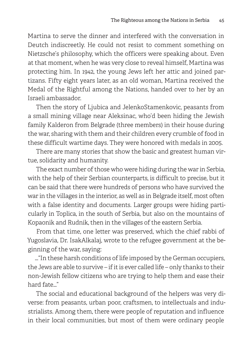Martina to serve the dinner and interfered with the conversation in Deutch indiscreetly. He could not resist to comment something on Nietzsche's philosophy, which the officers were speaking about. Even at that moment, when he was very close to reveal himself, Martina was protecting him. In 1942, the young Jews left her attic and joined partizans. Fifty eight years later, as an old woman, Martina received the Medal of the Rightful among the Nations, handed over to her by an Israeli ambassador.

Then the story of Ljubica and JelenkoStamenkovic, peasants from a small mining village near Aleksinac, who'd been hiding the Jewish family Kalderon from Belgrade (three members) in their house during the war, sharing with them and their children every crumble of food in these difficult wartime days. They were honored with medals in 2005.

There are many stories that show the basic and greatest human virtue, solidarity and humanity.

The exact number of those who were hiding during the war in Serbia, with the help of their Serbian counterparts, is difficult to precise, but it can be said that there were hundreds of persons who have survived the war in the villages in the interior, as well as in Belgrade itself, most often with a false identity and documents. Larger groups were hiding particularly in Toplica, in the south of Serbia, but also on the mountains of Kopaonik and Rudnik, then in the villages of the eastern Serbia.

From that time, one letter was preserved, which the chief rabbi of Yugoslavia, Dr. IsakAlkalaj, wrote to the refugee government at the beginning of the war, saying:

…"In these harsh conditions of life imposed by the German occupiers, the Jews are able to survive – if it is ever called life – only thanks to their non-Jewish fellow citizens who are trying to help them and ease their hard fate…"

The social and educational background of the helpers was very diverse: from peasants, urban poor, craftsmen, to intellectuals and industrialists. Among them, there were people of reputation and influence in their local communities, but most of them were ordinary people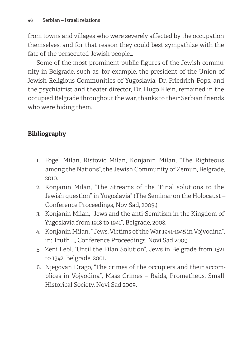from towns and villages who were severely affected by the occupation themselves, and for that reason they could best sympathize with the fate of the persecuted Jewish people…

Some of the most prominent public figures of the Jewish community in Belgrade, such as, for example, the president of the Union of Jewish Religious Communities of Yugoslavia, Dr. Friedrich Pops, and the psychiatrist and theater director, Dr. Hugo Klein, remained in the occupied Belgrade throughout the war, thanks to their Serbian friends who were hiding them.

## **Bibliography**

- 1. Fogel Milan, Ristovic Milan, Konjanin Milan, "The Righteous among the Nations", the Jewish Community of Zemun, Belgrade, 2010.
- 2. Konjanin Milan, "The Streams of the "Final solutions to the Jewish question" in Yugoslavia" (The Seminar on the Holocaust – Conference Proceedings, Nov Sad, 2009.)
- 3. Konjanin Milan, "Jews and the anti-Semitism in the Kingdom of Yugoslavia from 1918 to 1941", Belgrade, 2008.
- 4. Konjanin Milan, " Jews, Victims of the War 1941-1945 in Vojvodina", in: Truth ..., Conference Proceedings, Novi Sad 2009
- 5. Zeni Lebl, "Until the Filan Solution", Jews in Belgrade from 1521 to 1942, Belgrade, 2001.
- 6. Njegovan Drago, "The crimes of the occupiers and their accomplices in Vojvodina", Mass Crimes – Raids, Prometheus, Small Historical Society, Novi Sad 2009.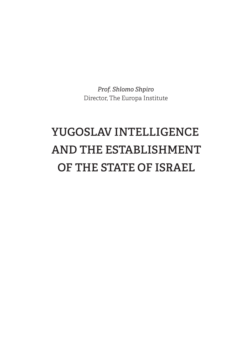*Prof. Shlomo Shpiro* Director, The Europa Institute

# **YUGOSLAV INTELLIGENCE AND THE ESTABLISHMENT OF THE STATE OF ISRAEL**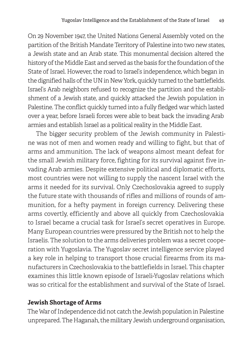On 29 November 1947, the United Nations General Assembly voted on the partition of the British Mandate Territory of Palestine into two new states, a Jewish state and an Arab state. This monumental decision altered the history of the Middle East and served as the basis for the foundation of the State of Israel. However, the road to Israel's independence, which began in the dignified halls of the UN in New York, quickly turned to the battlefields. Israel's Arab neighbors refused to recognize the partition and the establishment of a Jewish state, and quickly attacked the Jewish population in Palestine. The conflict quickly turned into a fully fledged war which lasted over a year, before Israeli forces were able to beat back the invading Arab armies and establish Israel as a political reality in the Middle East.

The bigger security problem of the Jewish community in Palestine was not of men and women ready and willing to fight, but that of arms and ammunition. The lack of weapons almost meant defeat for the small Jewish military force, fighting for its survival against five invading Arab armies. Despite extensive political and diplomatic efforts, most countries were not willing to supply the nascent Israel with the arms it needed for its survival. Only Czechoslovakia agreed to supply the future state with thousands of rifles and millions of rounds of ammunition, for a hefty payment in foreign currency. Delivering these arms covertly, efficiently and above all quickly from Czechoslovakia to Israel became a crucial task for Israel's secret operatives in Europe. Many European countries were pressured by the British not to help the Israelis. The solution to the arms deliveries problem was a secret cooperation with Yugoslavia. The Yugoslav secret intelligence service played a key role in helping to transport those crucial firearms from its manufacturers in Czechoslovakia to the battlefields in Israel. This chapter examines this little known episode of Israeli-Yugoslav relations which was so critical for the establishment and survival of the State of Israel.

#### **Jewish Shortage of Arms**

The War of Independence did not catch the Jewish population in Palestine unprepared. The Haganah, the military Jewish underground organisation,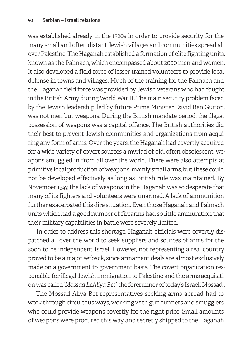was established already in the 1920s in order to provide security for the many small and often distant Jewish villages and communities spread all over Palestine. The Haganah established a formation of elite fighting units, known as the Palmach, which encompassed about 2000 men and women. It also developed a field force of lesser trained volunteers to provide local defense in towns and villages. Much of the training for the Palmach and the Haganah field force was provided by Jewish veterans who had fought in the British Army during World War II. The main security problem faced by the Jewish leadership, led by future Prime Minister David Ben Gurion, was not men but weapons. During the British mandate period, the illegal possession of weapons was a capital offence. The British authorities did their best to prevent Jewish communities and organizations from acquiring any form of arms. Over the years, the Haganah had covertly acquired for a wide variety of covert sources a myriad of old, often obsolescent, weapons smuggled in from all over the world. There were also attempts at primitive local production of weapons, mainly small arms, but these could not be developed effectively as long as British rule was maintained. By November 1947, the lack of weapons in the Haganah was so desperate that many of its fighters and volunteers were unarmed. A lack of ammunition further exacerbated this dire situation. Even those Haganah and Palmach units which had a good number of firearms had so little ammunition that their military capabilities in battle were severely limited.

In order to address this shortage, Haganah officials were covertly dispatched all over the world to seek suppliers and sources of arms for the soon to be independent Israel. However, not representing a real country proved to be a major setback, since armament deals are almost exclusively made on a government to government basis. The covert organization responsible for illegal Jewish immigration to Palestine and the arms acquisition was called *'Mossad LeAliya Bet'*, the forerunner of today's Israeli Mossad<del>'</del>.

The Mossad Aliya Bet representatives seeking arms abroad had to work through circuitous ways, working with gun runners and smugglers who could provide weapons covertly for the right price. Small amounts of weapons were procured this way, and secretly shipped to the Haganah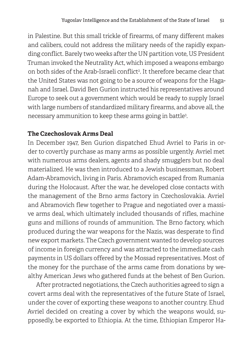in Palestine. But this small trickle of firearms, of many different makes and calibers, could not address the military needs of the rapidly expanding conflict. Barely two weeks after the UN partition vote, US President Truman invoked the Neutrality Act, which imposed a weapons embargo on both sides of the Arab-Israeli conflict<sup>2</sup>. It therefore became clear that the United States was not going to be a source of weapons for the Haganah and Israel. David Ben Gurion instructed his representatives around Europe to seek out a government which would be ready to supply Israel with large numbers of standardized military firearms, and above all, the necessary ammunition to keep these arms going in battle3 .

#### **The Czechoslovak Arms Deal**

In December 1947, Ben Gurion dispatched Ehud Avriel to Paris in order to covertly purchase as many arms as possible urgently. Avriel met with numerous arms dealers, agents and shady smugglers but no deal materialized. He was then introduced to a Jewish businessman, Robert Adam-Abramovich, living in Paris. Abramovich escaped from Rumania during the Holocaust. After the war, he developed close contacts with the management of the Brno arms factory in Czechoslovakia. Avriel and Abramovich flew together to Prague and negotiated over a massive arms deal, which ultimately included thousands of rifles, machine guns and millions of rounds of ammunition. The Brno factory, which produced during the war weapons for the Nazis, was desperate to find new export markets. The Czech government wanted to develop sources of income in foreign currency and was attracted to the immediate cash payments in US dollars offered by the Mossad representatives. Most of the money for the purchase of the arms came from donations by wealthy American Jews who gathered funds at the behest of Ben Gurion.

After protracted negotiations, the Czech authorities agreed to sign a covert arms deal with the representatives of the future State of Israel, under the cover of exporting these weapons to another country. Ehud Avriel decided on creating a cover by which the weapons would, supposedly, be exported to Ethiopia. At the time, Ethiopian Emperor Ha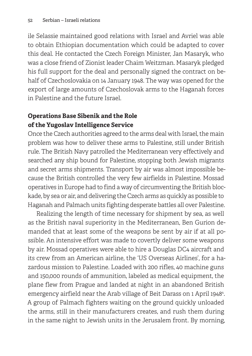ile Selassie maintained good relations with Israel and Avriel was able to obtain Ethiopian documentation which could be adapted to cover this deal. He contacted the Czech Foreign Minister, Jan Masaryk, who was a close friend of Zionist leader Chaim Weitzman. Masaryk pledged his full support for the deal and personally signed the contract on behalf of Czechoslovakia on 14 January 1948. The way was opened for the export of large amounts of Czechoslovak arms to the Haganah forces in Palestine and the future Israel.

## **Operations Base Sibenik and the Role of the Yugoslav Intelligence Service**

Once the Czech authorities agreed to the arms deal with Israel, the main problem was how to deliver these arms to Palestine, still under British rule. The British Navy patrolled the Mediterranean very effectively and searched any ship bound for Palestine, stopping both Jewish migrants and secret arms shipments. Transport by air was almost impossible because the British controlled the very few airfields in Palestine. Mossad operatives in Europe had to find a way of circumventing the British blockade, by sea or air, and delivering the Czech arms as quickly as possible to Haganah and Palmach units fighting desperate battles all over Palestine.

Realizing the length of time necessary for shipment by sea, as well as the British naval superiority in the Mediterranean, Ben Gurion demanded that at least some of the weapons be sent by air if at all possible. An intensive effort was made to covertly deliver some weapons by air. Mossad operatives were able to hire a Douglas DC4 aircraft and its crew from an American airline, the 'US Overseas Airlines', for a hazardous mission to Palestine. Loaded with 200 rifles, 40 machine guns and 150,000 rounds of ammunition, labeled as medical equipment, the plane flew from Prague and landed at night in an abandoned British emergency airfield near the Arab village of Beit Darass on 1 April 19484 . A group of Palmach fighters waiting on the ground quickly unloaded the arms, still in their manufacturers creates, and rush them during in the same night to Jewish units in the Jerusalem front. By morning,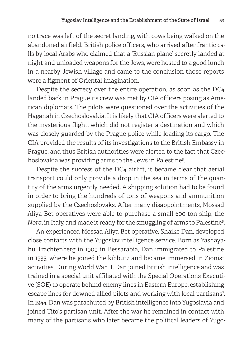no trace was left of the secret landing, with cows being walked on the abandoned airfield. British police officers, who arrived after frantic calls by local Arabs who claimed that a 'Russian plane' secretly landed at night and unloaded weapons for the Jews, were hosted to a good lunch in a nearby Jewish village and came to the conclusion those reports were a figment of Oriental imagination.

Despite the secrecy over the entire operation, as soon as the DC4 landed back in Prague its crew was met by CIA officers posing as American diplomats. The pilots were questioned over the activities of the Haganah in Czechoslovakia. It is likely that CIA officers were alerted to the mysterious flight, which did not register a destination and which was closely guarded by the Prague police while loading its cargo. The CIA provided the results of its investigations to the British Embassy in Prague, and thus British authorities were alerted to the fact that Czechoslovakia was providing arms to the Jews in Palestine5 .

Despite the success of the DC4 airlift, it became clear that aerial transport could only provide a drop in the sea in terms of the quantity of the arms urgently needed. A shipping solution had to be found in order to bring the hundreds of tons of weapons and ammunition supplied by the Czechoslovaks. After many disappointments, Mossad Aliya Bet operatives were able to purchase a small 600 ton ship, the *Nora*, in Italy, and made it ready for the smuggling of arms to Palestine6 .

An experienced Mossad Aliya Bet operative, Shaike Dan, developed close contacts with the Yugoslav intelligence service. Born as Yashayahu Trachtenberg in 1909 in Bessarabia, Dan immigrated to Palestine in 1935, where he joined the kibbutz and became immersed in Zionist activities. During World War II, Dan joined British intelligence and was trained in a special unit affiliated with the Special Operations Executive (SOE) to operate behind enemy lines in Eastern Europe, establishing escape lines for downed allied pilots and working with local partisans7 . In 1944, Dan was parachuted by British intelligence into Yugoslavia and joined Tito's partisan unit. After the war he remained in contact with many of the partisans who later became the political leaders of Yugo-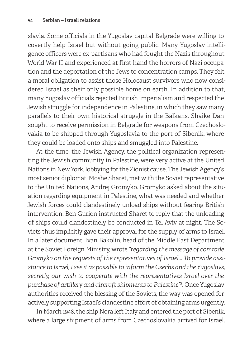slavia. Some officials in the Yugoslav capital Belgrade were willing to covertly help Israel but without going public. Many Yugoslav intelligence officers were ex-partisans who had fought the Nazis throughout World War II and experienced at first hand the horrors of Nazi occupation and the deportation of the Jews to concentration camps. They felt a moral obligation to assist those Holocaust survivors who now considered Israel as their only possible home on earth. In addition to that, many Yugoslav officials rejected British imperialism and respected the Jewish struggle for independence in Palestine, in which they saw many parallels to their own historical struggle in the Balkans. Shaike Dan sought to receive permission in Belgrade for weapons from Czechoslovakia to be shipped through Yugoslavia to the port of Sibenik, where they could be loaded onto ships and smuggled into Palestine.

At the time, the Jewish Agency, the political organization representing the Jewish community in Palestine, were very active at the United Nations in New York, lobbying for the Zionist cause. The Jewish Agency's most senior diplomat, Moshe Sharet, met with the Soviet representative to the United Nations, Andrej Gromyko. Gromyko asked about the situation regarding equipment in Palestine, what was needed and whether Jewish forces could clandestinely unload ships without fearing British intervention. Ben Gurion instructed Sharet to reply that the unloading of ships could clandestinely be conducted in Tel Aviv at night. The Soviets thus implicitly gave their approval for the supply of arms to Israel. In a later document, Ivan Bakolin, head of the Middle East Department at the Soviet Foreign Ministry, wrote *"regarding the message of comrade Gromyko on the requests of the representatives of Israel... To provide assistance to Israel, I see it as possible to inform the Czechs and the Yugoslavs, secretly, our wish to cooperate with the representatives Israel over the purchase of artillery and aircraft shipments to Palestine"*<sup>8</sup> . Once Yugoslav authorities received the blessing of the Soviets, the way was opened for actively supporting Israel's clandestine effort of obtaining arms urgently.

In March 1948, the ship Nora left Italy and entered the port of Sibenik, where a large shipment of arms from Czechoslovakia arrived for Israel.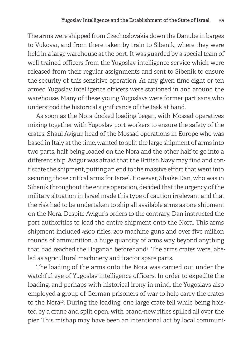The arms were shipped from Czechoslovakia down the Danube in barges to Vukovar, and from there taken by train to Sibenik, where they were held in a large warehouse at the port. It was guarded by a special team of well-trained officers from the Yugoslav intelligence service which were released from their regular assignments and sent to Sibenik to ensure the security of this sensitive operation. At any given time eight or ten armed Yugoslav intelligence officers were stationed in and around the warehouse. Many of these young Yugoslavs were former partisans who understood the historical significance of the task at hand.

As soon as the Nora docked loading began, with Mossad operatives mixing together with Yugoslav port workers to ensure the safety of the crates. Shaul Avigur, head of the Mossad operations in Europe who was based in Italy at the time, wanted to split the large shipment of arms into two parts, half being loaded on the Nora and the other half to go into a different ship. Avigur was afraid that the British Navy may find and confiscate the shipment, putting an end to the massive effort that went into securing those critical arms for Israel. However, Shaike Dan, who was in Sibenik throughout the entire operation, decided that the urgency of the military situation in Israel made this type of caution irrelevant and that the risk had to be undertaken to ship all available arms as one shipment on the Nora. Despite Avigur's orders to the contrary, Dan instructed the port authorities to load the entire shipment onto the Nora. This arms shipment included 4500 rifles, 200 machine guns and over five million rounds of ammunition, a huge quantity of arms way beyond anything that had reached the Haganah beforehand<sup>9</sup>. The arms crates were labeled as agricultural machinery and tractor spare parts.

The loading of the arms onto the Nora was carried out under the watchful eye of Yugoslav intelligence officers. In order to expedite the loading, and perhaps with historical irony in mind, the Yugoslavs also employed a group of German prisoners of war to help carry the crates to the Nora<sup>10</sup>. During the loading, one large crate fell while being hoisted by a crane and split open, with brand-new rifles spilled all over the pier. This mishap may have been an intentional act by local communi-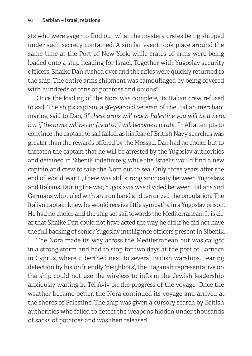sts who were eager to find out what the mystery crates being shipped under such secrecy contained. A similar event took place around the same time at the Port of New York, while crates of arms were being loaded onto a ship heading for Israel. Together with Yugoslav security officers, Shaike Dan rushed over and the rifles were quickly returned to the ship. The entire arms shipment was camouflaged by being covered with hundreds of tons of potatoes and onions<sup>11</sup>.

Once the loading of the Nora was complete, its Italian crew refused to sail. The ship's captain, a 56-year-old veteran of the Italian merchant marine, said to Dan, *"if these arms will reach Palestine you will be a hero, but if the arms will be confiscated, I will become a pirate..."*. 12 All attempts to convince the captain to sail failed, as his fear of British Navy searches was greater than the rewards offered by the Mossad. Dan had no choice but to threaten the captain that he will be arrested by the Yugoslav authorities and detained in Sibenik indefinitely, while the Israelis would find a new captain and crew to take the Nora out to sea. Only three years after the end of World War II, there was still strong animosity between Yugoslavs and Italians. During the war, Yugoslavia was divided between Italians and Germans who ruled with an iron hand and terrorized the population. The Italian captain knew he would receive little sympathy in a Yugoslav prison. He had no choice and the ship set sail towards the Mediterranean. It is clear that Shaike Dan could not have acted the way he did if he did not have the full backing of senior Yugoslav intelligence officers present in Sibenik.

The Nora made its way across the Mediterranean but was caught in a strong storm and had to stop for two days at the port of Larnaca in Cyprus, where it berthed next to several British warships. Fearing detection by his unfriendly 'neighbors', the Haganah representative on the ship could not use the wireless to inform the Jewish leadership anxiously waiting in Tel Aviv on the progress of the voyage. Once the weather became better, the Nora continued its voyage and arrived at the shores of Palestine. The ship was given a cursory search by British authorities who failed to detect the weapons hidden under thousands of sacks of potatoes and was then released.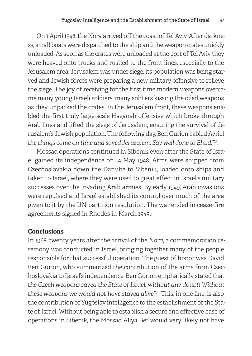On 1 April 1948, the Nora arrived off the coast of Tel Aviv. After darkness, small boats were dispatched to the ship and the weapon crates quickly unloaded. As soon as the crates were unloaded at the port of Tel Aviv they were heaved onto trucks and rushed to the front lines, especially to the Jerusalem area. Jerusalem was under siege, its population was being starved and Jewish forces were preparing a new military offensive to relieve the siege. The joy of receiving for the first time modern weapons overcame many young Israeli soldiers, many soldiers kissing the oiled weapons as they unpacked the crates. In the Jerusalem front, these weapons enabled the first truly large-scale Haganah offensive which broke through Arab lines and lifted the siege of Jerusalem, ensuring the survival of Jerusalem's Jewish population. The following day, Ben Gurion cabled Avriel *"the things came on time and saved Jerusalem. Say well done to Ehud!"*13.

Mossad operations continued in Sibenik even after the State of Israel gained its independence on 14 May 1948. Arms were shipped from Czechoslovakia down the Danube to Sibenik, loaded onto ships and taken to Israel, where they were used to great effect in Israel's military successes over the invading Arab armies. By early 1949, Arab invasions were repulsed and Israel established its control over much of the area given to it by the UN partition resolution. The war ended in cease-fire agreements signed in Rhodes in March 1949.

#### **Conclusions**

In 1968, twenty years after the arrival of the *Nora*, a commemoration ceremony was conducted in Israel, bringing together many of the people responsible for that successful operation. The guest of honor was David Ben Gurion, who summarized the contribution of the arms from Czechoslovakia to Israel's independence. Ben Gurion emphatically stated that *"the Czech weapons saved the State of Israel, without any doubt! Without these weapons we would not have stayed alive"*14. This, in one line, is also the contribution of Yugoslav intelligence to the establishment of the State of Israel. Without being able to establish a secure and effective base of operations in Sibenik, the Mossad Aliya Bet would very likely not have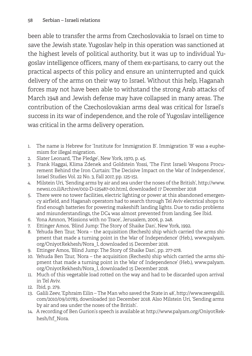been able to transfer the arms from Czechoslovakia to Israel on time to save the Jewish state. Yugoslav help in this operation was sanctioned at the highest levels of political authority, but it was up to individual Yugoslav intelligence officers, many of them ex-partisans, to carry out the practical aspects of this policy and ensure an uninterrupted and quick delivery of the arms on their way to Israel. Without this help, Haganah forces may not have been able to withstand the strong Arab attacks of March 1948 and Jewish defense may have collapsed in many areas. The contribution of the Czechoslovakian arms deal was critical for Israel's success in its war of independence, and the role of Yugoslav intelligence was critical in the arms delivery operation.

- 1. The name is Hebrew for 'Institute for Immigration B'. Immigration 'B' was a euphemism for illegal migration.
- 2. Slater Leonard, 'The Pledge', New York, 1970, p. 45.
- 3. Frank Haggai, Klima Zdenek and Goldstein Yossi, 'The First Israeli Weapons Procurement Behind the Iron Curtain: The Decisive Impact on the War of Independence', Israel Studies Vol. 22 No. 3, Fall 2017, pp. 125-151.
- 4. Milstein Uri, 'Sending arms by air and sea under the noses of the British', http://www. news1.co.il/Archive/002-D-125487-00.html, downloaded 17 December 2018
- 5. There were no tower facilities, electric lighting or power at this abandoned emergency airfield, and Haganah operators had to search through Tel Aviv electrical shops to find enough batteries for powering makeshift landing lights. Due to radio problems and misunderstandings, the DC4 was almost prevented from landing. See Ibid.
- 6. Yona Amnon, 'Missions with no Trace', Jerusalem, 2006, p. 248.
- 7. Ettinger Amos, 'Blind Jump: The Story of Shaike Dan', New York, 1992.
- 8. Yehuda Ben Tzur, 'Nora the acquisition (Rechesh) ship which carried the arms shipment that made a turning point in the War of Independence' (Heb.), www.palyam. org/OniyotRekhesh/Nora\_I, downloaded 15 December 2018.
- 9. Ettinger Amos, 'Blind Jump: The Story of Shaike Dan', pp. 277-278.
- 10. Yehuda Ben Tzur, 'Nora the acquisition (Rechesh) ship which carried the arms shipment that made a turning point in the War of Independence' (Heb.), www.palyam. org/OniyotRekhesh/Nora\_I, downloaded 15 December 2018.
- 11. Much of this vegetable load rotted on the way and had to be discarded upon arrival in Tel Aviv.
- 12. Ibid, p. 279.
- 13. Galili Zeev, 'Ephraim Eilin The Man who saved the State in 48', http://www.zeevgalili. com/2010/09/10783, downloaded 310 December 2018. Also Milstein Uri, 'Sending arms by air and sea under the noses of the British'.
- 14. A recording of Ben Gurion's speech is available at http://www.palyam.org/OniyotRekhesh/hf\_Nora.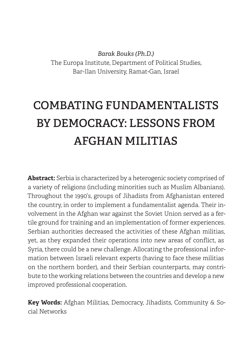*Barak Bouks (Ph.D.)* The Europa Institute, Department of Political Studies, Bar-Ilan University, Ramat-Gan, Israel

# **COMBATING FUNDAMENTALISTS BY DEMOCRACY: LESSONS FROM AFGHAN MILITIAS**

**Abstract:** Serbia is characterized by a heterogenic society comprised of a variety of religions (including minorities such as Muslim Albanians). Throughout the 1990's, groups of Jihadists from Afghanistan entered the country, in order to implement a fundamentalist agenda. Their involvement in the Afghan war against the Soviet Union served as a fertile ground for training and an implementation of former experiences. Serbian authorities decreased the activities of these Afghan militias, yet, as they expanded their operations into new areas of conflict, as Syria, there could be a new challenge. Allocating the professional information between Israeli relevant experts (having to face these militias on the northern border), and their Serbian counterparts, may contribute to the working relations between the countries and develop a new improved professional cooperation.

**Key Words:** Afghan Militias, Democracy, Jihadists, Community & Social Networks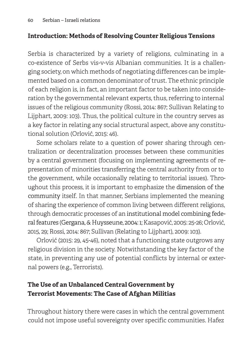### **Introduction: Methods of Resolving Counter Religious Tensions**

Serbia is characterized by a variety of religions, culminating in a co-existence of Serbs vis-v-vis Albanian communities. It is a challenging society, on which methods of negotiating differences can be implemented based on a common denominator of trust. The ethnic principle of each religion is, in fact, an important factor to be taken into consideration by the governmental relevant experts, thus, referring to internal issues of the religious community (Rossi, 2014: 867; Sullivan Relating to Lijphart, 2009: 103). Thus, the political culture in the country serves as a key factor in relating any social structural aspect, above any constitutional solution (Orlović, 2015: 46).

Some scholars relate to a question of power sharing through centralization or decentralization processes between these communities by a central government (focusing on implementing agreements of representation of minorities transferring the central authority from or to the government, while occasionally relating to territorial issues). Throughout this process, it is important to emphasize the dimension of the community itself. In that manner, Serbians implemented the meaning of sharing the experience of common living between different religions, through democratic processes of an institutional model combining federal features (Gergana, & Huysseune, 2004: 1; Kasapović, 2005: 25-26; Orlović, 2015, 29; Rossi, 2014: 867; Sullivan (Relating to Lijphart), 2009: 103).

Orlović (2015: 29, 45-46), noted that a functioning state outgrows any religious division in the society. Notwithstanding the key factor of the state, in preventing any use of potential conflicts by internal or external powers (e.g., Terrorists).

## **The Use of an Unbalanced Central Government by Terrorist Movements: The Case of Afghan Militias**

Throughout history there were cases in which the central government could not impose useful sovereignty over specific communities. Hafez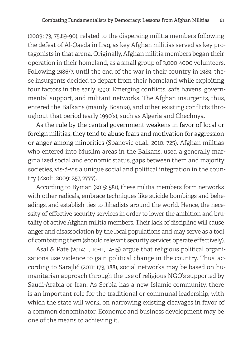(2009: 73, 75,89-90), related to the dispersing militia members following the defeat of Al-Qaeda in Iraq, as key Afghan militias served as key protagonists in that arena. Originally, Afghan militia members began their operation in their homeland, as a small group of 3,000-4000 volunteers. Following 1986/7, until the end of the war in their country in 1989, these insurgents decided to depart from their homeland while exploiting four factors in the early 1990: Emerging conflicts, safe havens, governmental support, and militant networks. The Afghan insurgents, thus, entered the Balkans (mainly Bosnia), and other existing conflicts throughout that period (early 1990's), such as Algeria and Chechnya.

As the rule by the central government weakens in favor of local or foreign militias, they tend to abuse fears and motivation for aggression or anger among minorities (Spanovic et.al., 2010: 725). Afghan militias who entered into Muslim areas in the Balkans, used a generally marginalized social and economic status, gaps between them and majority societies, vis-à-vis a unique social and political integration in the country (Zsolt, 2009: 257, 2777).

According to Byman (2015: 581), these militia members form networks with other radicals, embrace techniques like suicide bombings and beheadings, and establish ties to Jihadists around the world. Hence, the necessity of effective security services in order to lower the ambition and brutality of active Afghan militia members. Their lack of discipline will cause anger and disassociation by the local populations and may serve as a tool of combatting them (should relevant security services operate effectively).

Asal & Pate (2014: 1, 10-11, 14-15) argue that religious political organizations use violence to gain political change in the country. Thus, according to Sarajlić (2011: 173, 188), social networks may be based on humanitarian approach through the use of religious NGO's supported by Saudi-Arabia or Iran. As Serbia has a new Islamic community, there is an important role for the traditional or communal leadership, with which the state will work, on narrowing existing cleavages in favor of a common denominator. Economic and business development may be one of the means to achieving it.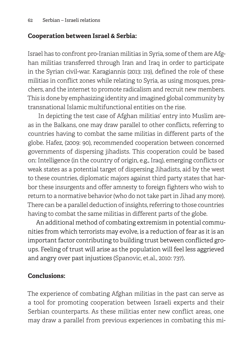#### **Cooperation between Israel & Serbia:**

Israel has to confront pro-Iranian militias in Syria, some of them are Afghan militias transferred through Iran and Iraq in order to participate in the Syrian civil-war. Karagiannis (2013: 119), defined the role of these militias in conflict zones while relating to Syria, as using mosques, preachers, and the internet to promote radicalism and recruit new members. This is done by emphasizing identity and imagined global community by transnational Islamic multifunctional entities on the rise.

 In depicting the test case of Afghan militias' entry into Muslim areas in the Balkans, one may draw parallel to other conflicts, referring to countries having to combat the same militias in different parts of the globe. Hafez, (2009: 90), recommended cooperation between concerned governments of dispersing jihadists. This cooperation could be based on: Intelligence (in the country of origin, e.g., Iraq), emerging conflicts or weak states as a potential target of dispersing Jihadists, aid by the west to these countries, diplomatic majors against third party states that harbor these insurgents and offer amnesty to foreign fighters who wish to return to a normative behavior (who do not take part in Jihad any more). There can be a parallel deduction of insights, referring to those countries having to combat the same militias in different parts of the globe.

An additional method of combating extremism in potential communities from which terrorists may evolve, is a reduction of fear as it is an important factor contributing to building trust between conflicted groups. Feeling of trust will arise as the population will feel less aggrieved and angry over past injustices (Spanovic, et.al., 2010: 737).

#### **Conclusions:**

The experience of combating Afghan militias in the past can serve as a tool for promoting cooperation between Israeli experts and their Serbian counterparts. As these militias enter new conflict areas, one may draw a parallel from previous experiences in combating this mi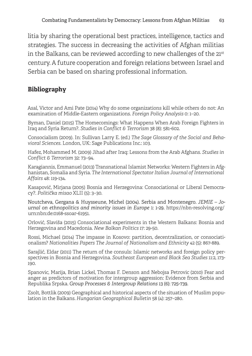litia by sharing the operational best practices, intelligence, tactics and strategies. The success in decreasing the activities of Afghan militias in the Balkans, can be reviewed according to new challenges of the  $21<sup>st</sup>$ century. A future cooperation and foreign relations between Israel and Serbia can be based on sharing professional information.

### **Bibliography**

Asal, Victor and Ami Pate (2014) Why do some organizations kill while others do not: An examination of Middle-Eastern organizations. *Foreign Policy Analysis* 0: 1–20.

Byman, Daniel (2015) The Homecomings: What Happens When Arab Foreign Fighters in Iraq and Syria Return?. *Studies in Conflict & Terrorism* 38 (8): 581-602.

Consocialism (2009). In: Sullivan Larry E. (ed.) *The Sage Glossary of the Social and Behavioral Sciences*. London, UK: Sage Publications Inc.: 103.

Hafez, Mohammed M. (2009) Jihad after Iraq: Lessons from the Arab Afghans. *Studies in Conflict & Terrorism* 32: 73–94.

Karagiannis, Emmanuel (2013) Transnational Islamist Networks: Western Fighters in Afghanistan, Somalia and Syria. *The International Spectator Italian Journal of International Affairs* 48: 119-134.

Kasapović, Mirjana (2005) Bosnia and Herzegovina: Consociational or Liberal Democracy?. *Politička misao* XLII (5): 3–30.

Noutcheva, Gergana & Huysseune, Michel (2004). Serbia and Montenegro. *JEMIE – Journal on ethnopolitics and minority issues in Europe* 1: 1-29. https://nbn-resolving.org/ urn:nbn:de:0168-ssoar-61951*.*

Orlović, Slaviša (2015) Consociational experiments in the Western Balkans: Bosnia and Herzegovina and Macedonia. *New Balkan Politics* 17: 29-50.

Rossi, Michael (2014) The impasse in Kosovo: partition, decentralization, or consociationalism? *Nationalities Papers The Journal of Nationalism and Ethnicity* 42 (5): 867-889.

Sarajlić, Eldar (2011) The return of the consuls: Islamic networks and foreign policy perspectives in Bosnia and Herzegovina. *Southeast European and Black Sea Studies* 11:2, 173- 190.

Spanovic, Marija, Brian Lickel, Thomas F. Denson and Nebojsa Petrovic (2010) Fear and anger as predictors of motivation for intergroup aggression: Evidence from Serbia and Republika Srpska. *Group Processes & Intergroup Relations* 13 (6): 725-739.

Zsolt, Bottlik (2009) Geographical and historical aspects of the situation of Muslim population in the Balkans. *Hungarian Geographical Bulletin* 58 (4): 257–280.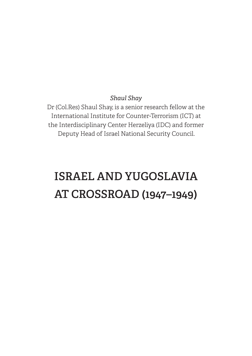#### *Shaul Shay*

Dr (Col.Res) Shaul Shay, is a senior research fellow at the International Institute for Counter-Terrorism (ICT) at the Interdisciplinary Center Herzeliya (IDC) and former Deputy Head of Israel National Security Council.

# **ISRAEL AND YUGOSLAVIA AT CROSSROAD (1947–1949)**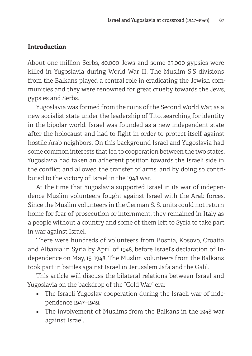#### **Introduction**

About one million Serbs, 80,000 Jews and some 25,000 gypsies were killed in Yugoslavia during World War II. The Muslim S.S divisions from the Balkans played a central role in eradicating the Jewish communities and they were renowned for great cruelty towards the Jews, gypsies and Serbs.

Yugoslavia was formed from the ruins of the Second World War, as a new socialist state under the leadership of Tito, searching for identity in the bipolar world. Israel was founded as a new independent state after the holocaust and had to fight in order to protect itself against hostile Arab neighbors. On this background Israel and Yugoslavia had some common interests that led to cooperation between the two states. Yugoslavia had taken an adherent position towards the Israeli side in the conflict and allowed the transfer of arms, and by doing so contributed to the victory of Israel in the 1948 war.

At the time that Yugoslavia supported Israel in its war of independence Muslim volunteers fought against Israel with the Arab forces. Since the Muslim volunteers in the German S. S. units could not return home for fear of prosecution or internment, they remained in Italy as a people without a country and some of them left to Syria to take part in war against Israel.

There were hundreds of volunteers from Bosnia, Kosovo, Croatia and Albania in Syria by April of 1948, before Israel's declaration of Independence on May, 15, 1948. The Muslim volunteers from the Balkans took part in battles against Israel in Jerusalem Jafa and the Galil.

This article will discuss the bilateral relations between Israel and Yugoslavia on the backdrop of the "Cold War" era:

- The Israeli Yugoslav cooperation during the Israeli war of independence 1947–1949.
- The involvement of Muslims from the Balkans in the 1948 war against Israel.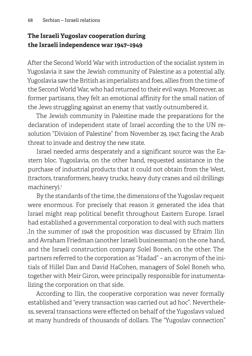## **The Israeli Yugoslav cooperation during the Israeli independence war 1947–1949**

After the Second World War with introduction of the socialist system in Yugoslavia it saw the Jewish community of Palestine as a potential ally. Yugoslavia saw the British as imperialists and foes, allies from the time of the Second World War, who had returned to their evil ways. Moreover, as former partisans, they felt an emotional affinity for the small nation of the Jews struggling against an enemy that vastly outnumbered it.

The Jewish community in Palestine made the preparations for the declaration of independent state of Israel according the to the UN resolution "Division of Palestine" from November 29, 1947, facing the Arab threat to invade and destroy the new state.

Israel needed arms desperately and a significant source was the Eastern bloc. Yugoslavia, on the other hand, requested assistance in the purchase of industrial products that it could not obtain from the West, (tractors, transformers, heavy trucks, heavy duty cranes and oil drillings machinery). 1

By the standards of the time, the dimensions of the Yugoslav request were enormous. For precisely that reason it generated the idea that Israel might reap political benefit throughout Eastern Europe. Israel had established a governmental corporation to deal with such matters .In the summer of 1948 the proposition was discussed by Efraim Ilin and Avraham Friedman (another Israeli businessman) on the one hand, and the Israeli construction company Solel Boneh, on the other. The partners referred to the corporation as "Hadad" – an acronym of the initials of Hillel Dan and David HaCohen, managers of Solel Boneh who, together with Meir Giron, were principally responsible for instumentalizing the corporation on that side.

According to Ilin, the cooperative corporation was never formally established and "every transaction was carried out ad hoc". Nevertheless, several transactions were effected on behalf of the Yugoslavs valued at many hundreds of thousands of dollars. The "Yugoslav connection"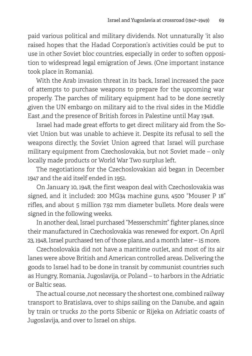paid various political and military dividends. Not unnaturally 'it also raised hopes that the Hadad Corporation's activities could be put to use in other Soviet bloc countries, especially in order to soften opposition to widespread legal emigration of Jews. (One important instance took place in Romania).

With the Arab invasion threat in its back, Israel increased the pace of attempts to purchase weapons to prepare for the upcoming war properly. The parches of military equipment had to be done secretly ,given the UN embargo on military aid to the rival sides in the Middle East ,and the presence of British forces in Palestine until May 1948.

Israel had made great efforts to get direct military aid from the Soviet Union but was unable to achieve it. Despite its refusal to sell the weapons directly, the Soviet Union agreed that Israel will purchase military equipment from Czechoslovakia, but not Soviet made – only locally made products or World War Two surplus left.

The negotiations for the Czechoslovakian aid began in December 1947 and the aid itself ended in 1951.

On January 10, 1948, the first weapon deal with Czechoslovakia was signed, and it included: 200 MG34 machine guns, 4500 "Mouser P 18" rifles, and about 5 million 7.92 mm diameter bullets. More deals were signed in the following weeks.

In another deal, Israel purchased "Messerschmitt" fighter planes, since their manufactured in Czechoslovakia was renewed for export. On April 23, 1948, Israel purchased ten of those plans, and a month later – 15 more.

Czechoslovakia did not have a maritime outlet, and most of its air lanes were above British and American controlled areas. Delivering the goods to Israel had to be done in transit by communist countries such as Hungry, Romania, Jugoslavija, or Poland – to harbors in the Adriatic or Baltic seas.

The actual course ,not necessary the shortest one, combined railway transport to Bratislava, over to ships sailing on the Danube, and again by train or trucks ,to the ports Sibenic or Rijeka on Adriatic coasts of Jugoslavija, and over to Israel on ships.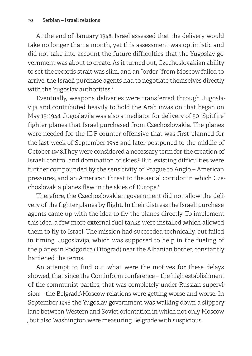At the end of January 1948, Israel assessed that the delivery would take no longer than a month, yet this assessment was optimistic and did not take into account the future difficulties that the Yugoslav government was about to create. As it turned out, Czechoslovakian ability to set the records strait was slim, and an "order "from Moscow failed to arrive, the Israeli purchase agents had to negotiate themselves directly with the Yugoslav authorities. 2

Eventually, weapons deliveries were transferred through Jugoslavija and contributed heavily to hold the Arab invasion that began on May 15; 1948. Jugoslavija was also a mediator for delivery of 50 "Spitfire" fighter planes that Israel purchased from Czechoslovakia. The planes were needed for the IDF counter offensive that was first planned for the last week of September 1948 and later postponed to the middle of October 1948.They were considered a necessary term for the creation of Israeli control and domination of skies. <sup>3</sup> But, existing difficulties were further compounded by the sensitivity of Prague to Anglo – American pressures, and an American threat to the aerial corridor in which Czechoslovakia planes flew in the skies of Europe. 4

Therefore, the Czechoslovakian government did not allow the delivery of the fighter planes by flight. In their distress the Israeli purchase agents came up with the idea to fly the planes directly .To implement this idea ,a few more external fuel tanks were installed ,which allowed them to fly to Israel. The mission had succeeded technically, but failed in timing. Jugoslavija, which was supposed to help in the fueling of the planes in Podgorica (Titograd) near the Albanian border, constantly hardened the terms.

An attempt to find out what were the motives for these delays showed, that since the Cominform conference – the high establishment of the communist parties, that was completely under Russian supervision – the Belgrade\Moscow relations were getting worse and worse. In September 1948 the Yugoslav government was walking down a slippery lane between Western and Soviet orientation in which not only Moscow , but also Washington were measuring Belgrade with suspicious.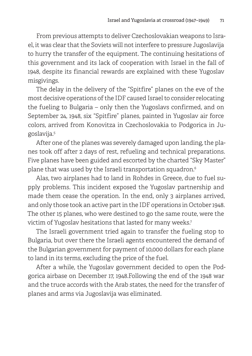From previous attempts to deliver Czechoslovakian weapons to Israel, it was clear that the Soviets will not interfere to pressure Jugoslavija to hurry the transfer of the equipment. The continuing hesitations of this government and its lack of cooperation with Israel in the fall of 1948, despite its financial rewards are explained with these Yugoslav misgivings.

The delay in the delivery of the "Spitfire" planes on the eve of the most decisive operations of the IDF caused Israel to consider relocating the fueling to Bulgaria – only then the Yugoslavs confirmed, and on September 24, 1948, six "Spitfire" planes, painted in Yugoslav air force colors, arrived from Konovitza in Czechoslovakia to Podgorica in Jugoslavija. 5

After one of the planes was severely damaged upon landing, the planes took off after 2 days of rest, refueling and technical preparations. Five planes have been guided and escorted by the charted "Sky Master" plane that was used by the Israeli transportation squadron. 6

Alas, two airplanes had to land in Rohdes in Greece, due to fuel supply problems. This incident exposed the Yugoslav partnership and made them cease the operation. In the end, only 3 airplanes arrived, and only those took an active part in the IDF operations in October 1948. The other 15 planes, who were destined to go the same route, were the victim of Yugoslav hesitations that lasted for many weeks. 7

The Israeli government tried again to transfer the fueling stop to Bulgaria, but over there the Israeli agents encountered the demand of the Bulgarian government for payment of 10,000 dollars for each plane to land in its terms, excluding the price of the fuel.

After a while, the Yugoslav government decided to open the Podgorica airbase on December 17, 1948.Following the end of the 1948 war and the truce accords with the Arab states, the need for the transfer of planes and arms via Jugoslavija was eliminated.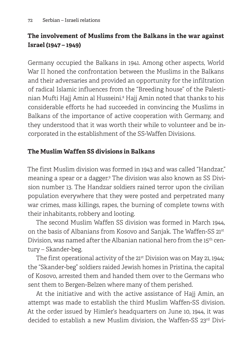## **The involvement of Muslims from the Balkans in the war against Israel (1947 – 1949)**

Germany occupied the Balkans in 1941. Among other aspects, World War II honed the confrontation between the Muslims in the Balkans and their adversaries and provided an opportunity for the infiltration of radical Islamic influences from the "Breeding house" of the Palestinian Mufti Hajj Amin al Husseini. 8 Hajj Amin noted that thanks to his considerable efforts he had succeeded in convincing the Muslims in Balkans of the importance of active cooperation with Germany, and they understood that it was worth their while to volunteer and be incorporated in the establishment of the SS-Waffen Divisions.

### **The Muslim Waffen SS divisions in Balkans**

The first Muslim division was formed in 1943 and was called "Handzar," meaning a spear or a dagger. 9 The division was also known as SS Division number 13. The Handzar soldiers rained terror upon the civilian population everywhere that they were posted and perpetrated many war crimes, mass killings, rapes, the burning of complete towns with their inhabitants, robbery and looting.

The second Muslim Waffen SS division was formed in March 1944, on the basis of Albanians from Kosovo and Sanjak. The Waffen-SS 21st Division, was named after the Albanian national hero from the 15th century – Skander-beg.

The first operational activity of the 21<sup>st</sup> Division was on May 21, 1944; the "Skander-beg" soldiers raided Jewish homes in Pristina, the capital of Kosovo, arrested them and handed them over to the Germans who sent them to Bergen-Belzen where many of them perished.

At the initiative and with the active assistance of Hajj Amin, an attempt was made to establish the third Muslim Waffen-SS division. At the order issued by Himler's headquarters on June 10, 1944, it was decided to establish a new Muslim division, the Waffen-SS 23rd Divi-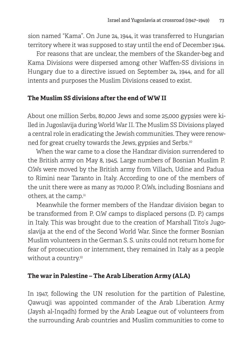sion named "Kama". On June 24, 1944, it was transferred to Hungarian territory where it was supposed to stay until the end of December 1944.

For reasons that are unclear, the members of the Skander-beg and Kama Divisions were dispersed among other Waffen-SS divisions in Hungary due to a directive issued on September 24, 1944, and for all intents and purposes the Muslim Divisions ceased to exist.

#### **The Muslim SS divisions after the end of WW II**

About one million Serbs, 80,000 Jews and some 25,000 gypsies were killed in Jugoslavija during World War II. The Muslim SS Divisions played a central role in eradicating the Jewish communities. They were renowned for great cruelty towards the Jews, gypsies and Serbs. 10

When the war came to a close the Handzar division surrendered to the British army on May 8, 1945. Large numbers of Bosnian Muslim P. O.Ws were moved by the British army from Villach, Udine and Padua to Rimini near Taranto in Italy. According to one of the members of the unit there were as many as 70,000 P. O.Ws, including Bosnians and others, at the camp. $^{\rm n}$ 

Meanwhile the former members of the Handzar division began to be transformed from P. O.W camps to displaced persons (D. P.) camps in Italy. This was brought due to the creation of Marshall Tito's Jugoslavija at the end of the Second World War. Since the former Bosnian Muslim volunteers in the German S. S. units could not return home for fear of prosecution or internment, they remained in Italy as a people without a country. 12

## **The war in Palestine – The Arab Liberation Army (ALA)**

In 1947, following the UN resolution for the partition of Palestine, Qawuqji was appointed commander of the Arab Liberation Army (Jaysh al-Inqadh) formed by the Arab League out of volunteers from the surrounding Arab countries and Muslim communities to come to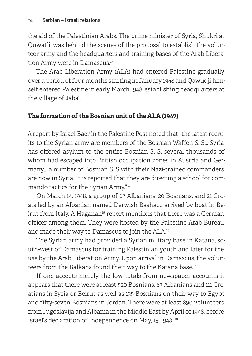the aid of the Palestinian Arabs. The prime minister of Syria, Shukri al Quwatli, was behind the scenes of the proposal to establish the volunteer army and the headquarters and training bases of the Arab Liberation Army were in Damascus. 13

The Arab Liberation Army (ALA) had entered Palestine gradually over a period of four months starting in January 1948 and Qawuqji himself entered Palestine in early March 1948, establishing headquarters at the village of Jaba'.

## **The formation of the Bosnian unit of the ALA (1947)**

A report by Israel Baer in the Palestine Post noted that "the latest recruits to the Syrian army are members of the Bosnian Waffen S. S… Syria has offered asylum to the entire Bosnian S. S. several thousands of whom had escaped into British occupation zones in Austria and Germany… a number of Bosnian S. S with their Nazi-trained commanders are now in Syria. It is reported that they are directing a school for commando tactics for the Syrian Army." 14

On March 14, 1948, a group of 67 Albanians, 20 Bosnians, and 21 Croats led by an Albanian named Derwish Bashaco arrived by boat in Beirut from Italy. A Haganah<sup>15</sup> report mentions that there was a German officer among them. They were hosted by the Palestine Arab Bureau and made their way to Damascus to join the ALA. 16

The Syrian army had provided a Syrian military base in Katana, south-west of Damascus for training Palestinian youth and later for the use by the Arab Liberation Army. Upon arrival in Damascus, the volunteers from the Balkans found their way to the Katana base. 17

If one accepts merely the low totals from newspaper accounts it appears that there were at least 520 Bosnians, 67 Albanians and 111 Croatians in Syria or Beirut as well as 135 Bosnians on their way to Egypt and fifty-seven Bosnians in Jordan. There were at least 890 volunteers from Jugoslavija and Albania in the Middle East by April of 1948, before Israel's declaration of Independence on May, 15, 1948. <sup>18</sup>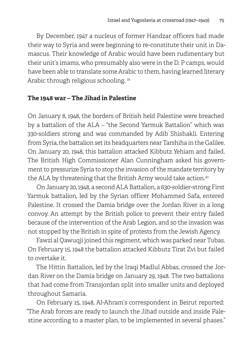By December, 1947 a nucleus of former Handzar officers had made their way to Syria and were beginning to re-constitute their unit in Damascus. Their knowledge of Arabic would have been rudimentary but their unit's imams, who presumably also were in the D. P camps, would have been able to translate some Arabic to them, having learned literary Arabic through religious schooling.<sup>19</sup>

#### **The 1948 war – The Jihad in Palestine**

On January 8, 1948, the borders of British held Palestine were breached by a battalion of the ALA – "the Second Yarmuk Battalion" which was 330-soldiers strong and was commanded by Adib Shishakli. Entering from Syria, the battalion set its headquarters near Tarshiha in the Galilee. On January 20, 1948, this battalion attacked Kibbutz Yehiam and failed. The British High Commissioner Alan Cunningham asked his government to pressurize Syria to stop the invasion of the mandate territory by the ALA by threatening that the British Army would take action. $^{\text{2C}}$ 

On January 20, 1948, a second ALA Battalion, a 630-soldier-strong First Yarmuk battalion, led by the Syrian officer Mohammed Safa, entered Palestine. It crossed the Damia bridge over the Jordan River in a long convoy. An attempt by the British police to prevent their entry failed because of the intervention of the Arab Legion, and so the invasion was not stopped by the British in spite of protests from the Jewish Agency.

Fawzi al Qawuqji joined this regiment, which was parked near Tubas. On February 15, 1948 the battalion attacked Kibbutz Tirat Zvi but failed to overtake it.

The Hittin Battalion, led by the Iraqi Madlul Abbas, crossed the Jordan River on the Damia bridge on January 29, 1948. The two battalions that had come from Transjordan split into smaller units and deployed throughout Samaria.

On February 15, 1948, Al-Ahram's correspondent in Beirut reported: "The Arab forces are ready to launch the Jihad outside and inside Palestine according to a master plan, to be implemented in several phases."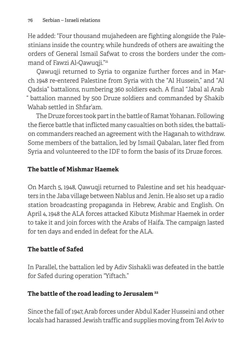He added: "Four thousand mujahedeen are fighting alongside the Palestinians inside the country, while hundreds of others are awaiting the orders of General Ismail Safwat to cross the borders under the command of Fawzi Al-Qawuqji." 21

Qawuqji returned to Syria to organize further forces and in March 1948 re-entered Palestine from Syria with the "Al Hussein," and "Al Qadsia" battalions, numbering 360 soldiers each. A final "Jabal al Arab " battalion manned by 500 Druze soldiers and commanded by Shakib Wahab settled in Shfar'am.

The Druze forces took part in the battle of Ramat Yohanan. Following the fierce battle that inflicted many casualties on both sides, the battalion commanders reached an agreement with the Haganah to withdraw. Some members of the battalion, led by Ismail Qabalan, later fled from Syria and volunteered to the IDF to form the basis of its Druze forces.

## **The battle of Mishmar Haemek**

On March 5, 1948, Qawuqji returned to Palestine and set his headquarters in the Jaba village between Nablus and Jenin. He also set up a radio station broadcasting propaganda in Hebrew, Arabic and English. On April 4, 1948 the ALA forces attacked Kibutz Mishmar Haemek in order to take it and join forces with the Arabs of Haifa. The campaign lasted for ten days and ended in defeat for the ALA.

# **The battle of Safed**

In Parallel, the battalion led by Adiv Sishakli was defeated in the battle for Safed during operation "Yiftach."

# **The battle of the road leading to Jerusalem 22**

Since the fall of 1947, Arab forces under Abdul Kader Husseini and other locals had harassed Jewish traffic and supplies moving from Tel Aviv to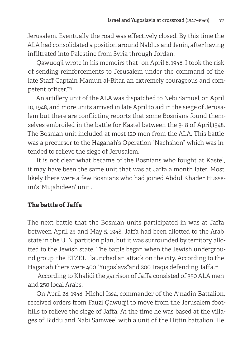Jerusalem. Eventually the road was effectively closed. By this time the ALA had consolidated a position around Nablus and Jenin, after having infiltrated into Palestine from Syria through Jordan.

Qawuoqji wrote in his memoirs that "on April 8, 1948, I took the risk of sending reinforcements to Jerusalem under the command of the late Staff Captain Mamun al-Bitar, an extremely courageous and competent officer." 23

An artillery unit of the ALA was dispatched to Nebi Samuel, on April 10, 1948, and more units arrived in late April to aid in the siege of Jerusalem but there are conflicting reports that some Bosnians found themselves embroiled in the battle for Kastel between the 3- 8 of April,1948. The Bosnian unit included at most 120 men from the ALA. This battle was a precursor to the Haganah's Operation "Nachshon" which was intended to relieve the siege of Jerusalem.

It is not clear what became of the Bosnians who fought at Kastel, it may have been the same unit that was at Jaffa a month later. Most likely there were a few Bosnians who had joined Abdul Khader Husseini's 'Mujahideen' unit .

## **The battle of Jaffa**

The next battle that the Bosnian units participated in was at Jaffa between April 25 and May 5, 1948. Jaffa had been allotted to the Arab state in the U. N partition plan, but it was surrounded by territory allotted to the Jewish state. The battle began when the Jewish underground group, the ETZEL , launched an attack on the city. According to the Haganah there were 400 "Yugoslavs"and 200 Iraqis defending Jaffa. 24

 According to Khalidi the garrison of Jaffa consisted of 350 ALA men and 250 local Arabs.

On April 28, 1948, Michel Issa, commander of the Ajnadin Battalion, received orders from Fauzi Qawuqji to move from the Jerusalem foothills to relieve the siege of Jaffa. At the time he was based at the villages of Biddu and Nabi Samweel with a unit of the Hittin battalion. He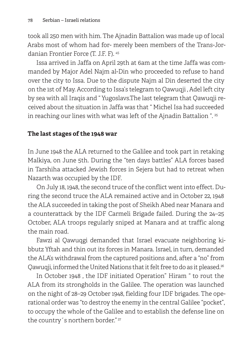took all 250 men with him. The Ajnadin Battalion was made up of local Arabs most of whom had for- merely been members of the Trans-Jordanian Frontier Force (T. J.F. F). <sup>45</sup>

Issa arrived in Jaffa on April 29th at 6am at the time Jaffa was commanded by Major Adel Najm al-Din who proceeded to refuse to hand over the city to Issa. Due to the dispute Najm al Din deserted the city on the 1st of May. According to Issa's telegram to Qawuqji , Adel left city by sea with all Iraqis and " Yugoslavs.The last telegram that Qawuqji received about the situation in Jaffa was that " Michel Isa had succeeded in reaching our lines with what was left of the Ajnadin Battalion ". <sup>25</sup>

#### **The last stages of the 1948 war**

In June 1948 the ALA returned to the Galilee and took part in retaking Malkiya, on June 5th. During the "ten days battles" ALA forces based in Tarshiha attacked Jewish forces in Sejera but had to retreat when Nazarth was occupied by the IDF.

On July 18, 1948, the second truce of the conflict went into effect. During the second truce the ALA remained active and in October 22, 1948 the ALA succeeded in taking the post of Sheikh Abed near Manara and a counterattack by the IDF Carmeli Brigade failed. During the 24–25 October, ALA troops regularly sniped at Manara and at traffic along the main road.

Fawzi al Qawuqgi demanded that Israel evacuate neighboring kibbutz Yftah and thin out its forces in Manara. Israel, in turn, demanded the ALA's withdrawal from the captured positions and, after a "no" from Qawuqji, informed the United Nations that it felt free to do as it pleased. 26

In October 1948 , the IDF initiated Operation" Hiram " to rout the ALA from its strongholds in the Galilee. The operation was launched on the night of 28–29 October 1948, fielding four IDF brigades. The operational order was "to destroy the enemy in the central Galilee "pocket", to occupy the whole of the Galilee and to establish the defense line on the country's northern border."<sup>27</sup>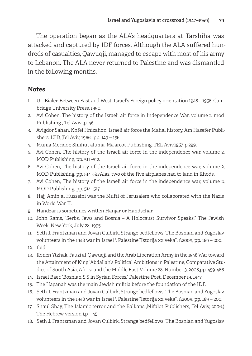The operation began as the ALA's headquarters at Tarshiha was attacked and captured by IDF forces. Although the ALA suffered hundreds of casualties, Qawuqji, managed to escape with most of his army to Lebanon. The ALA never returned to Palestine and was dismantled in the following months.

#### **Notes**

- 1. Uri Bialer, Between East and West: Israel's Foreign policy orientation 1948 1956, Cambridge University Press, 1990.
- 2. Avi Cohen, The history of the Israeli air force in Independence War, volume 2, mod Publishing , Tel Aviv ,p. 46.
- 3. Avigdor Sahan, Knfei Hnizahon, Israeli air force the Mahal history, Am Hasefer Publishers ,LTD, ,Tel Aviv, 1966, ,pp. 149 - 156.
- 4. Munia Meridor, Shlihut aluma, Ma'arcot Publishing, TEL Aviv,1957, p.299.
- 5. Avi Cohen, The history of the Israeli air force in the independence war, volume 2, MOD Publishing, pp. 511 -512.
- 6. Avi Cohen, The history of the Israeli air force in the independence war, volume 2, MOD Publishing, pp. 514 -517Alas, two of the five airplanes had to land in Rhods.
- 7. Avi Cohen, The history of the Israeli air force in the independence war, volume 2, MOD Publishing, pp. 514 -517.
- 8. Hajj Amin al Husseini was the Mufti of Jerusalem who collaborated with the Nazis in World War II.
- 9. Handzar is sometimes written Hanjar or Handschar.
- 10. John Rams, "Serbs, Jews and Bosnia A Holocaust Survivor Speaks," The Jewish Week, New York, July 28, 1995.
- 11. Seth J. Frantzman and Jovan Culbirk, Strange bedfellows: The Bosnian and Yugoslav volunteers in the 1948 war in Israel \ Palestine,"Istorija xx veka", 1\2009, pp. 189 – 200.
- 12. Ibid.
- 13. Ronen Ytzhak, Fauzi al-Qawuqji and the Arab Liberation Army in the 1948 War toward the Attainment of King 'Abdallah's Political Ambitions in Palestine, Comparative Studies of South Asia, Africa and the Middle East ,Volume 28, Number 3, 2008,pp. 459-466
- 14. Israel Baer, 'Bosnian S.S in Syrian Forces,' Palestine Post, December 19, 1947.
- 15. The Haganah was the main Jewish militia before the foundation of the IDF.
- 16. Seth J. Frantzman and Jovan Culbirk, Strange bedfellows: The Bosnian and Yugoslav volunteers in the 1948 war in Israel \ Palestine,"Istorija xx veka", 1\2009, pp. 189 – 200.
- 17. Shaul Shay, The Islamic terror and the Balkans ,Mifalot Publishers, Tel Aviv, 2006,( The Hebrew version ,  $p - 45$ .
- 18. Seth J. Frantzman and Jovan Culbirk, Strange bedfellows: The Bosnian and Yugoslav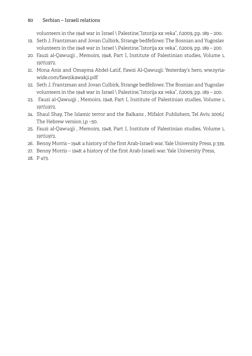volunteers in the 1948 war in Israel \ Palestine,"Istorija xx veka", 1\2009, pp. 189 – 200.

- 19. Seth J. Frantzman and Jovan Culbirk, Strange bedfellows: The Bosnian and Yugoslav volunteers in the 1948 war in Israel \ Palestine,"Istorija xx veka", 1\2009, pp. 189 – 200.
- 20. Fauzi al-Qawuqji , Memoirs, 1948, Part I, Institute of Palestinian studies, Volume 1, 1971\1972.
- 21. Mona Anis and Omayma Abdel-Latif, Fawzi Al-Qawuqji: Yesterday's hero, ww.syriawide.com/fawzikawakji.pdf
- 22. Seth J. Frantzman and Jovan Culbirk, Strange bedfellows: The Bosnian and Yugoslav volunteers in the 1948 war in Israel \ Palestine,"Istorija xx veka", 1\2009, pp. 189 – 200.
- 23. Fauzi al-Qawuqji , Memoirs, 1948, Part I, Institute of Palestinian studies, Volume 1, 1971\1972.
- 24. Shaul Shay, The Islamic terror and the Balkans , Mifalot Publishers, Tel Aviv, 2006,( The Hebrew version ),p –50.
- 25. Fauzi al-Qawuqji , Memoirs, 1948, Part I, Institute of Palestinian studies, Volume 1, 1971\1972.
- 26. Benny Morris 1948: a history of the first Arab-Israeli war. Yale University Press, p 339.
- 27. Benny Morris 1948: a history of the first Arab-Israeli war. Yale University Press,
- 28. P 473.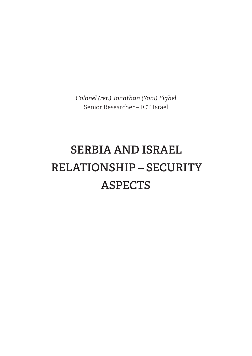*Colonel (ret.) Jonathan (Yoni) Fighel* Senior Researcher – ICT Israel

# **SERBIA AND ISRAEL RELATIONSHIP – SECURITY ASPECTS**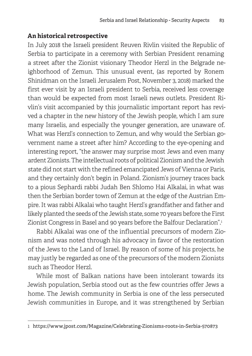#### **An historical retrospective**

In July 2018 the Israeli president Reuven Rivlin visited the Republic of Serbia to participate in a ceremony with Serbian President renaming a street after the Zionist visionary Theodor Herzl in the Belgrade neighborhood of Zemun. This unusual event, (as reported by Ronem Shinidman on the Israeli Jerusalem Post, November 3, 2018) marked the first ever visit by an Israeli president to Serbia, received less coverage than would be expected from most Israeli news outlets. President Rivlin's visit accompanied by this journalistic important report has revived a chapter in the new history of the Jewish people, which I am sure many Israelis, and especially the younger generation, are unaware of. What was Herzl's connection to Zemun, and why would the Serbian government name a street after him? According to the eye-opening and interesting report, "the answer may surprise most Jews and even many ardent Zionists. The intellectual roots of political Zionism and the Jewish state did not start with the refined emancipated Jews of Vienna or Paris, and they certainly don't begin in Poland. Zionism's journey traces back to a pious Sephardi rabbi Judah Ben Shlomo Hai Alkalai, in what was then the Serbian border town of Zemun at the edge of the Austrian Empire. It was rabbi Alkalai who taught Herzl's grandfather and father and likely planted the seeds of the Jewish state, some 70 years before the First Zionist Congress in Basel and 90 years before the Balfour Declaration". 1

Rabbi Alkalai was one of the influential precursors of modern Zionism and was noted through his advocacy in favor of the restoration of the Jews to the Land of Israel. By reason of some of his projects, he may justly be regarded as one of the precursors of the modern Zionists such as Theodor Herzl.

While most of Balkan nations have been intolerant towards its Jewish population, Serbia stood out as the few countries offer Jews a home. The Jewish community in Serbia is one of the less persecuted Jewish communities in Europe, and it was strengthened by Serbian

<sup>1</sup> https://www.jpost.com/Magazine/Celebrating-Zionisms-roots-in-Serbia-570873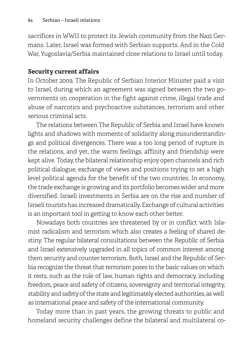sacrifices in WWII to protect its Jewish community from the Nazi Germans. Later, Israel was formed with Serbian supports. And in the Cold War, Yugoslavia/Serbia maintained close relations to Israel until today.

#### **Security current affairs**

In October 2009, The Republic of Serbian Interior Minister paid a visit to Israel, during which an agreement was signed between the two governments on cooperation in the fight against crime, illegal trade and abuse of narcotics and psychoactive substances, terrorism and other serious criminal acts.

The relations between The Republic of Serbia and Israel have known lights and shadows with moments of solidarity along misunderstandings and political divergences. There was a too long period of rupture in the relations, and yet, the warm feelings, affinity and friendship were kept alive. Today, the bilateral relationship enjoy open channels and rich political dialogue, exchange of views and positions trying to set a high level political agenda for the benefit of the two countries. In economy, the trade exchange is growing and its portfolio becomes wider and more diversified. Israeli investments in Serbia are on the rise and number of Israeli tourists has increased dramatically. Exchange of cultural activities is an important tool in getting to know each other better.

Nowadays both countries are threatened by or in conflict with Islamist radicalism and terrorism which also creates a feeling of shared destiny. The regular bilateral consultations between the Republic of Serbia and Israel extensively upgraded in all topics of common interest among them security and counter terrorism. Both, Israel and the Republic of Serbia recognize the threat that terrorism poses to the basic values on which it rests, such as the rule of law, human rights and democracy, including freedom, peace and safety of citizens, sovereignty and territorial integrity, stability and safety of the state and legitimately elected authorities, as well as international peace and safety of the international community.

Today more than in past years, the growing threats to public and homeland security challenges define the bilateral and multilateral co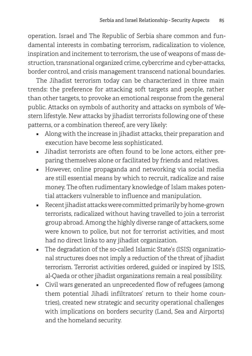operation. Israel and The Republic of Serbia share common and fundamental interests in combating terrorism, radicalization to violence, inspiration and incitement to terrorism, the use of weapons of mass destruction, transnational organized crime, cybercrime and cyber-attacks, border control, and crisis management transcend national boundaries.

The Jihadist terrorism today can be characterized in three main trends: the preference for attacking soft targets and people, rather than other targets, to provoke an emotional response from the general public. Attacks on symbols of authority and attacks on symbols of Western lifestyle. New attacks by jihadist terrorists following one of these patterns, or a combination thereof, are very likely:

- Along with the increase in jihadist attacks, their preparation and execution have become less sophisticated.
- Jihadist terrorists are often found to be lone actors, either preparing themselves alone or facilitated by friends and relatives.
- However, online propaganda and networking via social media are still essential means by which to recruit, radicalize and raise money. The often rudimentary knowledge of Islam makes potential attackers vulnerable to influence and manipulation.
- Recent jihadist attacks were committed primarily by home-grown terrorists, radicalized without having travelled to join a terrorist group abroad. Among the highly diverse range of attackers, some were known to police, but not for terrorist activities, and most had no direct links to any jihadist organization.
- The degradation of the so-called Islamic State's (ISIS) organizational structures does not imply a reduction of the threat of jihadist terrorism. Terrorist activities ordered, guided or inspired by ISIS, al-Qaeda or other jihadist organizations remain a real possibility.
- Civil wars generated an unprecedented flow of refugees (among them potential Jihadi infiltrators' return to their home countries), created new strategic and security operational challenges with implications on borders security (Land, Sea and Airports) and the homeland security.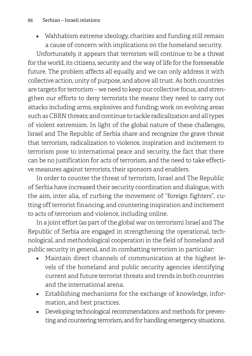■ Wahhabism extreme ideology, charities and funding still remain a cause of concern with implications on the homeland security.

Unfortunately, it appears that terrorism will continue to be a threat for the world, its citizens, security and the way of life for the foreseeable future. The problem affects all equally, and we can only address it with collective action, unity of purpose, and above all trust. As both countries are targets for terrorism – we need to keep our collective focus, and strengthen our efforts to deny terrorists the means they need to carry out attacks including arms, explosives and funding; work on evolving areas such as CBRN threats; and continue to tackle radicalization and all types of violent extremism. In light of the global nature of these challenges, Israel and The Republic of Serbia share and recognize the grave threat that terrorism, radicalization to violence, inspiration and incitement to terrorism pose to international peace and security, the fact that there can be no justification for acts of terrorism, and the need to take effective measures against terrorists, their sponsors and enablers.

In order to counter the threat of terrorism, Israel and The Republic of Serbia have increased their security coordination and dialogue, with the aim, inter alia, of curbing the movement of "foreign fighters", cutting off terrorist financing, and countering inspiration and incitement to acts of terrorism and violence, including online.

In a joint effort (as part of the global war on terrorism) Israel and The Republic of Serbia are engaged in strengthening the operational, technological, and methodological cooperation in the field of homeland and public security in general, and in combatting terrorism in particular:

- Maintain direct channels of communication at the highest levels of the homeland and public security agencies identifying current and future terrorist threats and trends in both countries and the international arena.
- Establishing mechanisms for the exchange of knowledge, information, and best practices.
- Developing technological recommendations and methods for preventing and countering terrorism, and for handling emergency situations.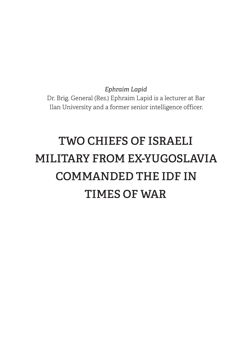*Ephraim Lapid* Dr. Brig. General (Res.) Ephraim Lapid is a lecturer at Bar Ilan University and a former senior intelligence officer.

# **TWO CHIEFS OF ISRAELI MILITARY FROM EX-YUGOSLAVIA COMMANDED THE IDF IN TIMES OF WAR**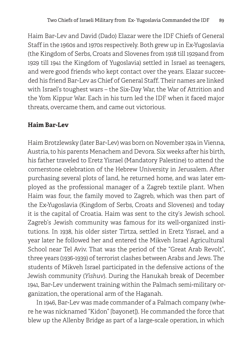Haim Bar-Lev and David (Dado) Elazar were the IDF Chiefs of General Staff in the 1960s and 1970s respectively. Both grew up in Ex-Yugoslavia (the Kingdom of Serbs, Croats and Slovenes from 1918 till 1929and from 1929 till 1941 the Kingdom of Yugoslavia) settled in Israel as teenagers, and were good friends who kept contact over the years. Elazar succeeded his friend Bar-Lev as Chief of General Staff. Their names are linked with Israel's toughest wars – the Six-Day War, the War of Attrition and the Yom Kippur War. Each in his turn led the IDF when it faced major threats, overcame them, and came out victorious.

# **Haim Bar-Lev**

Haim Brotzlewsky (later Bar-Lev) was born on November 1924 in Vienna, Austria, to his parents Menachem and Devora. Six weeks after his birth, his father traveled to Eretz Yisrael (Mandatory Palestine) to attend the cornerstone celebration of the Hebrew University in Jerusalem. After purchasing several plots of land, he returned home, and was later employed as the professional manager of a Zagreb textile plant. When Haim was four, the family moved to Zagreb, which was then part of the Ex-Yugoslavia (Kingdom of Serbs, Croats and Slovenes) and today it is the capital of Croatia. Haim was sent to the city's Jewish school. Zagreb's Jewish community was famous for its well-organized institutions. In 1938, his older sister Tirtza, settled in Eretz Yisrael, and a year later he followed her and entered the Mikveh Israel Agricultural School near Tel Aviv. That was the period of the "Great Arab Revolt", three years (1936-1939) of terrorist clashes between Arabs and Jews. The students of Mikveh Israel participated in the defensive actions of the Jewish community (*Yishuv*). During the Hanukah break of December 1941, Bar-Lev underwent training within the Palmach semi-military organization, the operational arm of the Haganah.

In 1946, Bar-Lev was made commander of a Palmach company (where he was nicknamed "Kidon" [bayonet]). He commanded the force that blew up the Allenby Bridge as part of a large-scale operation, in which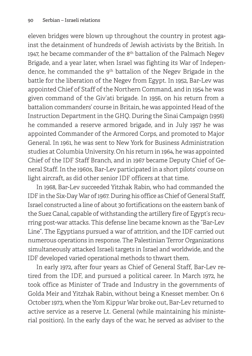eleven bridges were blown up throughout the country in protest against the detainment of hundreds of Jewish activists by the British. In 1947, he became commander of the 8<sup>th</sup> battalion of the Palmach Negev Brigade, and a year later, when Israel was fighting its War of Independence, he commanded the 9<sup>th</sup> battalion of the Negev Brigade in the battle for the liberation of the Negev from Egypt. In 1952, Bar-Lev was appointed Chief of Staff of the Northern Command, and in 1954 he was given command of the Giv'ati brigade. In 1956, on his return from a battalion commanders' course in Britain, he was appointed Head of the Instruction Department in the GHQ. During the Sinai Campaign (1956) he commanded a reserve armored brigade, and in July 1957 he was appointed Commander of the Armored Corps, and promoted to Major General. In 1961, he was sent to New York for Business Administration studies at Columbia University. On his return in 1964, he was appointed Chief of the IDF Staff Branch, and in 1967 became Deputy Chief of General Staff. In the 1960s, Bar-Lev participated in a short pilots' course on light aircraft, as did other senior IDF officers at that time.

In 1968, Bar-Lev succeeded Yitzhak Rabin, who had commanded the IDF in the Six-Day War of 1967. During his office as Chief of General Staff, Israel constructed a line of about 30 fortifications on the eastern bank of the Suez Canal, capable of withstanding the artillery fire of Egypt's recurring post-war attacks. This defense line became known as the "Bar-Lev Line". The Egyptians pursued a war of attrition, and the IDF carried out numerous operations in response. The Palestinian Terror Organizations simultaneously attacked Israeli targets in Israel and worldwide, and the IDF developed varied operational methods to thwart them.

In early 1972, after four years as Chief of General Staff, Bar-Lev retired from the IDF, and pursued a political career. In March 1972, he took office as Minister of Trade and Industry in the governments of Golda Meir and Yitzhak Rabin, without being a Knesset member. On 6 October 1973, when the Yom Kippur War broke out, Bar-Lev returned to active service as a reserve Lt. General (while maintaining his ministerial position). In the early days of the war, he served as adviser to the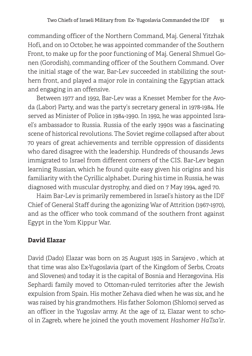commanding officer of the Northern Command, Maj. General Yitzhak Hofi, and on 10 October, he was appointed commander of the Southern Front, to make up for the poor functioning of Maj. General Shmuel Gonen (Gorodish), commanding officer of the Southern Command. Over the initial stage of the war, Bar-Lev succeeded in stabilizing the southern front, and played a major role in containing the Egyptian attack and engaging in an offensive.

Between 1977 and 1992, Bar-Lev was a Knesset Member for the Avoda (Labor) Party, and was the party's secretary general in 1978-1984. He served as Minister of Police in 1984-1990. In 1992, he was appointed Israel's ambassador to Russia. Russia of the early 1990s was a fascinating scene of historical revolutions. The Soviet regime collapsed after about 70 years of great achievements and terrible oppression of dissidents who dared disagree with the leadership. Hundreds of thousands Jews immigrated to Israel from different corners of the CIS. Bar-Lev began learning Russian, which he found quite easy given his origins and his familiarity with the Cyrillic alphabet. During his time in Russia, he was diagnosed with muscular dystrophy, and died on 7 May 1994, aged 70.

Haim Bar-Lev is primarily remembered in Israel's history as the IDF Chief of General Staff during the agonizing War of Attrition (1967-1970), and as the officer who took command of the southern front against Egypt in the Yom Kippur War.

#### **David Elazar**

David (Dado) Elazar was born on 25 August 1925 in Sarajevo , which at that time was also Ex-Yugoslavia (part of the Kingdom of Serbs, Croats and Slovenes) and today it is the capital of Bosnia and Herzegovina. His Sephardi family moved to Ottoman-ruled territories after the Jewish expulsion from Spain. His mother Zehava died when he was six, and he was raised by his grandmothers. His father Solomon (Shlomo) served as an officer in the Yugoslav army. At the age of 12, Elazar went to school in Zagreb, where he joined the youth movement *Hashomer HaTsa'ir*.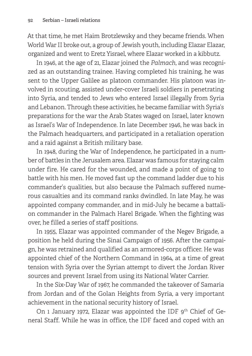At that time, he met Haim Brotzlewsky and they became friends. When World War II broke out, a group of Jewish youth, including Elazar Elazar, organized and went to Eretz Yisrael, where Elazar worked in a kibbutz.

In 1946, at the age of 21, Elazar joined the *Palmach*, and was recognized as an outstanding trainee. Having completed his training, he was sent to the Upper Galilee as platoon commander. His platoon was involved in scouting, assisted under-cover Israeli soldiers in penetrating into Syria, and tended to Jews who entered Israel illegally from Syria and Lebanon. Through these activities, he became familiar with Syria's preparations for the war the Arab States waged on Israel, later known as Israel's War of Independence. In late December 1946, he was back in the Palmach headquarters, and participated in a retaliation operation and a raid against a British military base.

In 1948, during the War of Independence, he participated in a number of battles in the Jerusalem area. Elazar was famous for staying calm under fire. He cared for the wounded, and made a point of going to battle with his men. He moved fast up the command ladder due to his commander's qualities, but also because the Palmach suffered numerous casualties and its command ranks dwindled. In late May, he was appointed company commander, and in mid-July he became a battalion commander in the Palmach Harel Brigade. When the fighting was over, he filled a series of staff positions.

In 1955, Elazar was appointed commander of the Negev Brigade, a position he held during the Sinai Campaign of 1956. After the campaign, he was retrained and qualified as an armored-corps officer. He was appointed chief of the Northern Command in 1964, at a time of great tension with Syria over the Syrian attempt to divert the Jordan River sources and prevent Israel from using its National Water Carrier.

In the Six-Day War of 1967, he commanded the takeover of Samaria from Jordan and of the Golan Heights from Syria, a very important achievement in the national security history of Israel.

On 1 January 1972, Elazar was appointed the IDF 9<sup>th</sup> Chief of General Staff. While he was in office, the IDF faced and coped with an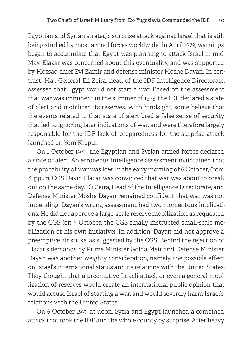Egyptian and Syrian strategic surprise attack against Israel that is still being studied by most armed forces worldwide. In April 1973, warnings began to accumulate that Egypt was planning to attack Israel in mid-May. Elazar was concerned about this eventuality, and was supported by Mossad chief Zvi Zamir and defense minister Moshe Dayan. In contrast, Maj. General Eli Zeira, head of the IDF Intelligence Directorate, assessed that Egypt would not start a war. Based on the assessment that war was imminent in the summer of 1973, the IDF declared a state of alert and mobilized its reserves. With hindsight, some believe that the events related to that state of alert bred a false sense of security that led to ignoring later indications of war, and were therefore largely responsible for the IDF lack of preparedness for the surprise attack launched on Yom Kippur.

On 1 October 1973, the Egyptian and Syrian armed forces declared a state of alert. An erroneous intelligence assessment maintained that the probability of war was low. In the early morning of 6 October, (Yom Kippur), CGS David Elazar was convinced that war was about to break out on the same day. Eli Zeira, Head of the Intelligence Directorate, and Defense Minister Moshe Dayan remained confident that war was not impending. Dayan's wrong assessment had two momentous implications: He did not approve a large-scale reserve mobilization as requested by the CGS (on 5 October, the CGS finally instructed small-scale mobilization of his own initiative). In addition, Dayan did not approve a preemptive air strike, as suggested by the CGS. Behind the rejection of Elazar's demands by Prime Minister Golda Meir and Defense Minister Dayan was another weighty consideration, namely, the possible effect on Israel's international status and its relations with the United States. They thought that a preemptive Israeli attack or even a general mobilization of reserves would create an international public opinion that would accuse Israel of starting a war, and would severely harm Israel's relations with the United States.

On 6 October 1973 at noon, Syria and Egypt launched a combined attack that took the IDF and the whole county by surprise. After heavy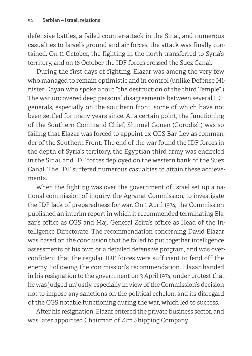defensive battles, a failed counter-attack in the Sinai, and numerous casualties to Israel's ground and air forces, the attack was finally contained. On 11 October, the fighting in the north transferred to Syria's territory, and on 16 October the IDF forces crossed the Suez Canal.

During the first days of fighting, Elazar was among the very few who managed to remain optimistic and in control (unlike Defense Minister Dayan who spoke about "the destruction of the third Temple".) The war uncovered deep personal disagreements between several IDF generals, especially on the southern front, some of which have not been settled for many years since. At a certain point, the functioning of the Southern Command Chief, Shmuel Gonen (Gorodish) was so failing that Elazar was forced to appoint ex-CGS Bar-Lev as commander of the Southern Front. The end of the war found the IDF forces in the depth of Syria's territory, the Egyptian third army was encircled in the Sinai, and IDF forces deployed on the western bank of the Suez Canal. The IDF suffered numerous casualties to attain these achievements.

When the fighting was over the government of Israel set up a national commission of inquiry, the Agranat Commission, to investigate the IDF lack of preparedness for war. On 1 April 1974, the Commission published an interim report in which it recommended terminating Elazar's office as CGS and Maj. General Zeira's office as Head of the Intelligence Directorate. The recommendation concerning David Elazar was based on the conclusion that he failed to put together intelligence assessments of his own or a detailed defensive program, and was overconfident that the regular IDF forces were sufficient to fend off the enemy. Following the commission's recommendation, Elazar handed in his resignation to the government on 3 April 1974, under protest that he was judged unjustly, especially in view of the Commission's decision not to impose any sanctions on the political echelon, and its disregard of the CGS notable functioning during the war, which led to success.

After his resignation, Elazar entered the private business sector, and was later appointed Chairman of Zim Shipping Company.